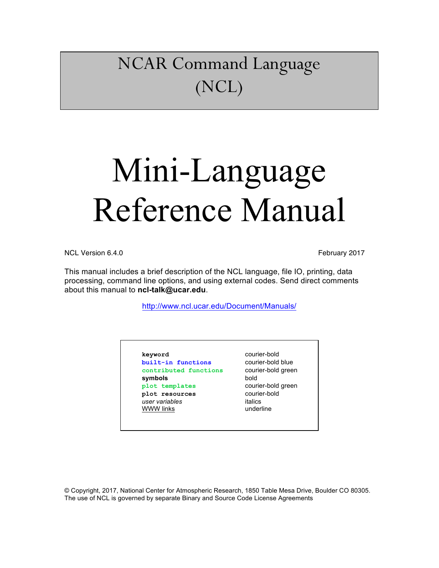## NCAR Command Language (NCL)

# Mini-Language Reference Manual

NCL Version 6.4.0 **February 2017** 

This manual includes a brief description of the NCL language, file IO, printing, data processing, command line options, and using external codes. Send direct comments about this manual to **ncl-talk@ucar.edu**.

http://www.ncl.ucar.edu/Document/Manuals/

**keyword** courier-bold **built-in functions** courier-bold blue **contributed functions** courier-bold green **symbols** bold **plot templates** courier-bold green **plot resources** courier-bold<br> *user variables* in talics  $user$  variables WWW links vanderline

© Copyright, 2017, National Center for Atmospheric Research, 1850 Table Mesa Drive, Boulder CO 80305. The use of NCL is governed by separate Binary and Source Code License Agreements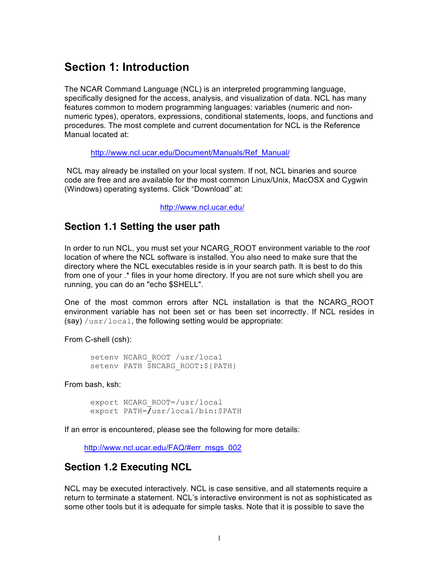## **Section 1: Introduction**

The NCAR Command Language (NCL) is an interpreted programming language, specifically designed for the access, analysis, and visualization of data. NCL has many features common to modern programming languages: variables (numeric and nonnumeric types), operators, expressions, conditional statements, loops, and functions and procedures. The most complete and current documentation for NCL is the Reference Manual located at:

http://www.ncl.ucar.edu/Document/Manuals/Ref\_Manual/

NCL may already be installed on your local system. If not, NCL binaries and source code are free and are available for the most common Linux/Unix, MacOSX and Cygwin (Windows) operating systems. Click "Download" at:

http://www.ncl.ucar.edu/

## **Section 1.1 Setting the user path**

In order to run NCL, you must set your NCARG\_ROOT environment variable to the *root* location of where the NCL software is installed. You also need to make sure that the directory where the NCL executables reside is in your search path. It is best to do this from one of your .\* files in your home directory. If you are not sure which shell you are running, you can do an "echo \$SHELL".

One of the most common errors after NCL installation is that the NCARG\_ROOT environment variable has not been set or has been set incorrectly. If NCL resides in  $(sav)$  /usr/local, the following setting would be appropriate:

From C-shell (csh):

setenv NCARG\_ROOT /usr/local setenv PATH \$NCARG\_ROOT:\${PATH}

From bash, ksh:

```
export NCARG_ROOT=/usr/local
export PATH=/usr/local/bin:$PATH
```
If an error is encountered, please see the following for more details:

http://www.ncl.ucar.edu/FAQ/#err\_msgs\_002

## **Section 1.2 Executing NCL**

NCL may be executed interactively. NCL is case sensitive, and all statements require a return to terminate a statement. NCL's interactive environment is not as sophisticated as some other tools but it is adequate for simple tasks. Note that it is possible to save the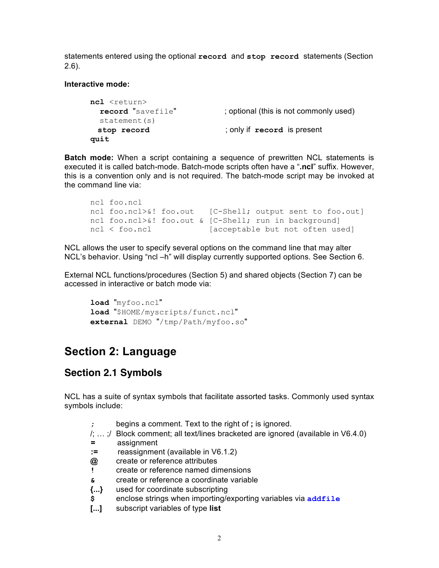statements entered using the optional **record** and **stop record** statements (Section 2.6).

#### **Interactive mode:**

```
ncl <return>
 record "savefile" ; optional (this is not commonly used)
  statement(s)
  stop record ; only if record is present
quit
```
**Batch mode:** When a script containing a sequence of prewritten NCL statements is executed it is called batch-mode. Batch-mode scripts often have a "**.ncl**" suffix. However, this is a convention only and is not required. The batch-mode script may be invoked at the command line via:

```
ncl foo.ncl
ncl foo.ncl>&! foo.out [C-Shell; output sent to foo.out]
ncl foo.ncl>&! foo.out & [C-Shell; run in background]
ncl < foo.ncl [acceptable but not often used]
```
NCL allows the user to specify several options on the command line that may alter NCL's behavior. Using "ncl –h" will display currently supported options. See Section 6.

External NCL functions/procedures (Section 5) and shared objects (Section 7) can be accessed in interactive or batch mode via:

```
load "myfoo.ncl"
load "$HOME/myscripts/funct.ncl"
external DEMO "/tmp/Path/myfoo.so"
```
## **Section 2: Language**

## **Section 2.1 Symbols**

NCL has a suite of syntax symbols that facilitate assorted tasks. Commonly used syntax symbols include:

- **;** begins a comment. Text to the right of **;** is ignored.
- /; … ;/ Block comment; all text/lines bracketed are ignored (available in V6.4.0)
- **=** assignment
- **:=** reassignment (available in V6.1.2)
- **@** create or reference attributes
- **!** create or reference named dimensions
- **&** create or reference a coordinate variable
- **{...}** used for coordinate subscripting
- **\$** enclose strings when importing/exporting variables via **addfile**
- **[...]** subscript variables of type **list**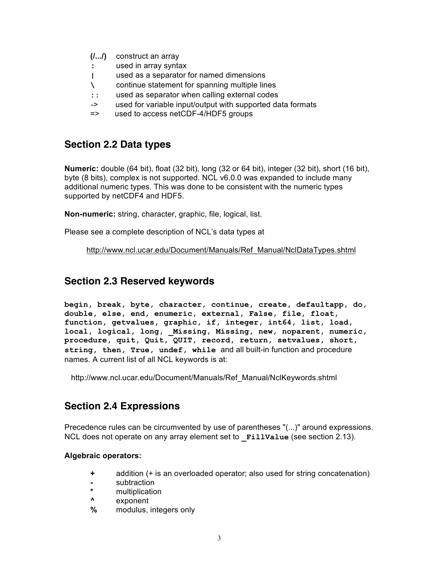- **(/.../)** construct an array
- **:** used in array syntax
- **|** used as a separator for named dimensions
- **\** continue statement for spanning multiple lines
- **::** used as separator when calling external codes
- -> used for variable input/output with supported data formats
- => used to access netCDF-4/HDF5 groups

## **Section 2.2 Data types**

**Numeric:** double (64 bit), float (32 bit), long (32 or 64 bit), integer (32 bit), short (16 bit), byte (8 bits), complex is not supported. NCL v6.0.0 was expanded to include many additional numeric types. This was done to be consistent with the numeric types supported by netCDF4 and HDF5.

**Non-numeric:** string, character, graphic, file, logical, list.

Please see a complete description of NCL's data types at

http://www.ncl.ucar.edu/Document/Manuals/Ref\_Manual/NclDataTypes.shtml

## **Section 2.3 Reserved keywords**

**begin, break, byte, character, continue, create, defaultapp, do, double, else, end, enumeric, external, False, file, float, function, getvalues, graphic, if, integer, int64, list, load, local, logical, long, \_Missing, Missing, new, noparent, numeric, procedure, quit, Quit, QUIT, record, return, setvalues, short, string, then, True, undef, while** and all built-in function and procedure names. A current list of all NCL keywords is at:

http://www.ncl.ucar.edu/Document/Manuals/Ref\_Manual/NclKeywords.shtml

## **Section 2.4 Expressions**

Precedence rules can be circumvented by use of parentheses "(...)" around expressions. NCL does not operate on any array element set to **\_FillValue** (see section 2.13).

#### **Algebraic operators:**

- **+** addition (+ is an overloaded operator; also used for string concatenation)
- **-** subtraction
- **\*** multiplication
- **^** exponent
- **%** modulus, integers only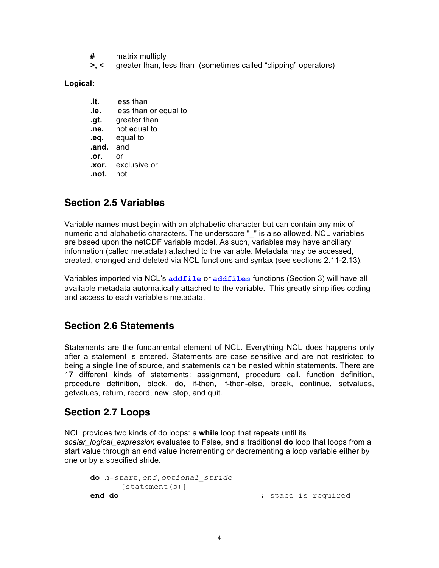- **#** matrix multiply
- **>, <** greater than, less than (sometimes called "clipping" operators)

**Logical:** 

**.lt.** less than **.le.** less than or equal to **.gt.** greater than **.ne.** not equal to **.eq.** equal to **.and.** and **.or.** or **.xor.** exclusive or **.not.** not

## **Section 2.5 Variables**

Variable names must begin with an alphabetic character but can contain any mix of numeric and alphabetic characters. The underscore "\_" is also allowed. NCL variables are based upon the netCDF variable model. As such, variables may have ancillary information (called metadata) attached to the variable. Metadata may be accessed, created, changed and deleted via NCL functions and syntax (see sections 2.11-2.13).

Variables imported via NCL's **addfile** or **addfiles** functions (Section 3) will have all available metadata automatically attached to the variable. This greatly simplifies coding and access to each variable's metadata.

## **Section 2.6 Statements**

Statements are the fundamental element of NCL. Everything NCL does happens only after a statement is entered. Statements are case sensitive and are not restricted to being a single line of source, and statements can be nested within statements. There are 17 different kinds of statements: assignment, procedure call, function definition, procedure definition, block, do, if-then, if-then-else, break, continue, setvalues, getvalues, return, record, new, stop, and quit.

## **Section 2.7 Loops**

NCL provides two kinds of do loops: a **while** loop that repeats until its *scalar\_logical\_expression* evaluates to False, and a traditional **do** loop that loops from a start value through an end value incrementing or decrementing a loop variable either by one or by a specified stride.

```
do n=start,end,optional_stride
     [statement(s)]
end do \qquad \qquad ; space is required
```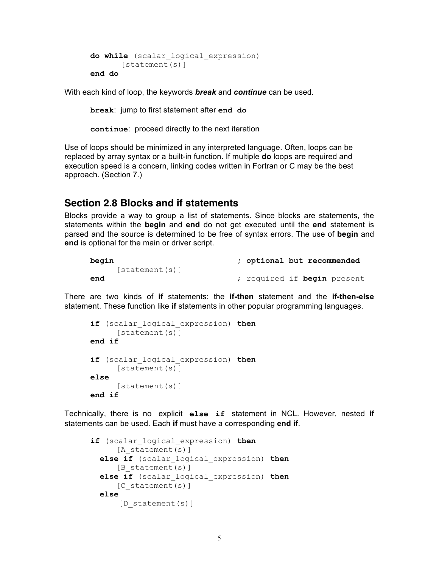```
do while (scalar_logical_expression)
       [statement(s)]
end do
```
With each kind of loop, the keywords *break* and *continue* can be used.

**break**: jump to first statement after **end do** 

**continue**: proceed directly to the next iteration

Use of loops should be minimized in any interpreted language. Often, loops can be replaced by array syntax or a built-in function. If multiple **do** loops are required and execution speed is a concern, linking codes written in Fortran or C may be the best approach. (Section 7.)

## **Section 2.8 Blocks and if statements**

Blocks provide a way to group a list of statements. Since blocks are statements, the statements within the **begin** and **end** do not get executed until the **end** statement is parsed and the source is determined to be free of syntax errors. The use of **begin** and **end** is optional for the main or driver script.

```
begin ; optional but recommended
   [statement(s)]
end ; required if begin present
```
There are two kinds of **if** statements: the **if-then** statement and the **if-then-else** statement. These function like **if** statements in other popular programming languages.

```
if (scalar_logical_expression) then
     [statement(s)]
end if
if (scalar_logical_expression) then
     [statement(s)]
else
     [statement(s)]
end if
```
Technically, there is no explicit **else if** statement in NCL. However, nested **if** statements can be used. Each **if** must have a corresponding **end if**.

```
if (scalar_logical_expression) then
     [A statement(s)]
  else if (scalar_logical_expression) then
     [B statement(s)]
   else if (scalar_logical_expression) then
     [C statement(s)]
   else
      [D statement(s)]
```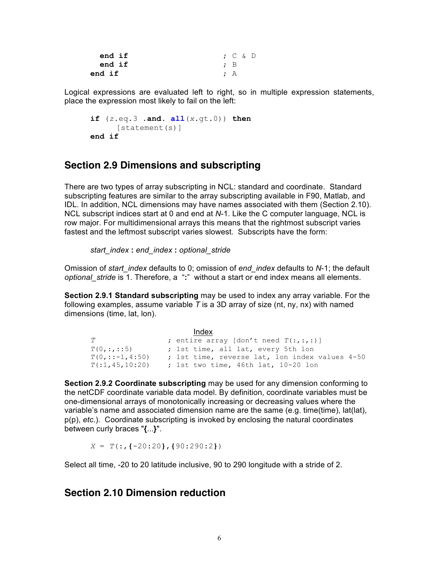| end if |           | $\cdot$ C & D |  |  |
|--------|-----------|---------------|--|--|
| end if | $\cdot$ B |               |  |  |
| end if | $\cdot$ A |               |  |  |

Logical expressions are evaluated left to right, so in multiple expression statements, place the expression most likely to fail on the left:

```
if (z.eq.3 .and. all(x.gt.0)) then
     [statement(s)]
end if
```
## **Section 2.9 Dimensions and subscripting**

There are two types of array subscripting in NCL: standard and coordinate. Standard subscripting features are similar to the array subscripting available in F90, Matlab, and IDL. In addition, NCL dimensions may have names associated with them (Section 2.10). NCL subscript indices start at 0 and end at *N*-1. Like the C computer language, NCL is row major. For multidimensional arrays this means that the rightmost subscript varies fastest and the leftmost subscript varies slowest. Subscripts have the form:

*start\_index* **:** *end\_index* **:** *optional\_stride*

Omission of *start\_index* defaults to 0; omission of *end\_index* defaults to *N*-1; the default *optional\_stride* is 1. Therefore, a "**:**" without a start or end index means all elements.

**Section 2.9.1 Standard subscripting** may be used to index any array variable. For the following examples, assume variable *T* is a 3D array of size (nt, ny, nx) with named dimensions (time, lat, lon).

|                         | Index                                          |
|-------------------------|------------------------------------------------|
| T                       | ; entire array [don't need $T(:,:,:)$ ]        |
| T(0, : , : : 5)         | ; 1st time, all lat, every 5th lon             |
| $T(0, \ldots -1, 4:50)$ | ; 1st time, reverse lat, lon index values 4-50 |
| T(1, 45, 10:20)         | ; 1st two time, 46th lat, 10-20 lon            |

**Section 2.9.2 Coordinate subscripting** may be used for any dimension conforming to the netCDF coordinate variable data model. By definition, coordinate variables must be one-dimensional arrays of monotonically increasing or decreasing values where the variable's name and associated dimension name are the same (e.g. time(time), lat(lat), p(p), *etc.*). Coordinate subscripting is invoked by enclosing the natural coordinates between curly braces "**{**...**}**".

*X* = *T*(:,**{**-20:20**}**,**{**90:290:2**}**)

Select all time, -20 to 20 latitude inclusive, 90 to 290 longitude with a stride of 2.

## **Section 2.10 Dimension reduction**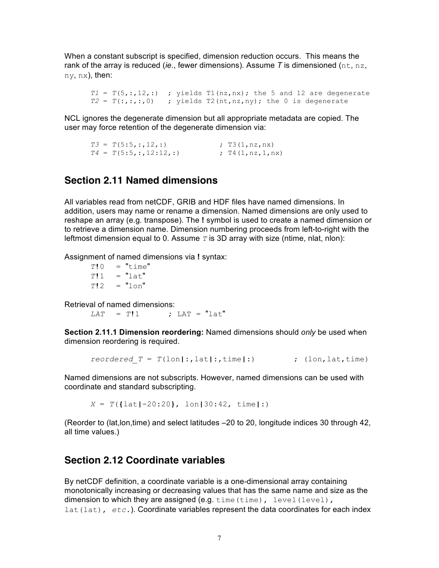When a constant subscript is specified, dimension reduction occurs. This means the rank of the array is reduced (*ie*., fewer dimensions). Assume *T* is dimensioned (nt, nz, ny, nx), then:

 $T1 = T(5, :, 12, :)$  ; yields  $T1(nx, nx)$ ; the 5 and 12 are degenerate  $T2 = T(:,:,:,0)$  ; yields  $T2(nt,nz,ny)$ ; the 0 is degenerate

NCL ignores the degenerate dimension but all appropriate metadata are copied. The user may force retention of the degenerate dimension via:

```
T3 = T(5:5, :, 12, :) ; T3(1,nz,nx)
T4 = T(5:5, :, 12:12,:) ; T4(1, nz, 1, nx)
```
## **Section 2.11 Named dimensions**

All variables read from netCDF, GRIB and HDF files have named dimensions. In addition, users may name or rename a dimension. Named dimensions are only used to reshape an array (e.g*.* transpose). The **!** symbol is used to create a named dimension or to retrieve a dimension name. Dimension numbering proceeds from left-to-right with the leftmost dimension equal to 0. Assume *T* is 3D array with size (ntime, nlat, nlon):

Assignment of named dimensions via **!** syntax:

 $T$ **!**  $0 =$  "time"  $T!1 = "lat"$  $T!2 = "1 \circ n"$ 

Retrieval of named dimensions:

*LAT* = *T***!**1 **;** LAT = "lat"

**Section 2.11.1 Dimension reordering:** Named dimensions should *only* be used when dimension reordering is required.

*reordered\_T* = *T*(lon**|**:,lat**|**:,time**|**:) ; (lon,lat,time)

Named dimensions are not subscripts. However, named dimensions can be used with coordinate and standard subscripting.

*X* = *T*(**{**lat**|**-20:20**}**, lon**|**30:42, time**|**:)

(Reorder to (lat,lon,time) and select latitudes –20 to 20, longitude indices 30 through 42, all time values.)

## **Section 2.12 Coordinate variables**

By netCDF definition, a coordinate variable is a one-dimensional array containing monotonically increasing or decreasing values that has the same name and size as the dimension to which they are assigned (e.g. time (time), level(level), lat(lat),  $etc.$ ). Coordinate variables represent the data coordinates for each index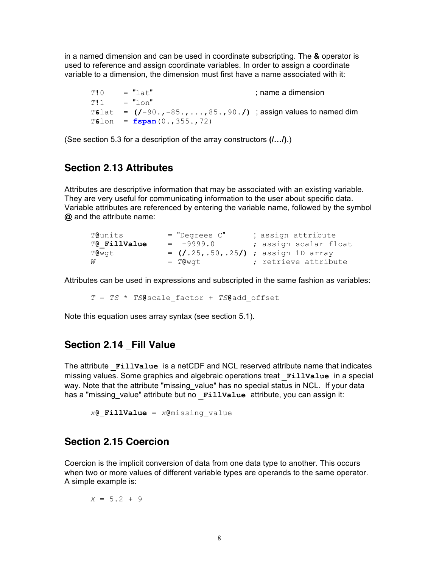in a named dimension and can be used in coordinate subscripting. The **&** operator is used to reference and assign coordinate variables. In order to assign a coordinate variable to a dimension, the dimension must first have a name associated with it:

 $T$ **!** $0 =$  "lat" ; name a dimension  $T!1 = "lon"$ *T***&**lat = **(/**-90.,-85.,...,85.,90.**/)** ; assign values to named dim *T***&**lon = **fspan**(0.,355.,72)

(See section 5.3 for a description of the array constructors **(/…/)**.)

## **Section 2.13 Attributes**

Attributes are descriptive information that may be associated with an existing variable. They are very useful for communicating information to the user about specific data. Variable attributes are referenced by entering the variable name, followed by the symbol **@** and the attribute name:

| T@units      | $=$ "Degrees $C$ " | ; assign attribute                     |
|--------------|--------------------|----------------------------------------|
| T@ FillValue | $= -9999.0$        | ; assign scalar float                  |
| T@wqt        |                    | = $(1.25, .50, .25)$ ; assign 1D array |
| W            | $= TQ$ wat         | ; retrieve attribute                   |

Attributes can be used in expressions and subscripted in the same fashion as variables:

*T* = *TS* \* *TS***@**scale\_factor + *TS***@**add\_offset

Note this equation uses array syntax (see section 5.1).

## **Section 2.14 \_Fill Value**

The attribute **\_FillValue** is a netCDF and NCL reserved attribute name that indicates missing values. Some graphics and algebraic operations treat **\_FillValue** in a special way. Note that the attribute "missing value" has no special status in NCL. If your data has a "missing value" attribute but no **FillValue** attribute, you can assign it:

*x***@**\_**FillValue** = *x***@**missing\_value

## **Section 2.15 Coercion**

Coercion is the implicit conversion of data from one data type to another. This occurs when two or more values of different variable types are operands to the same operator. A simple example is:

$$
X = 5.2 + 9
$$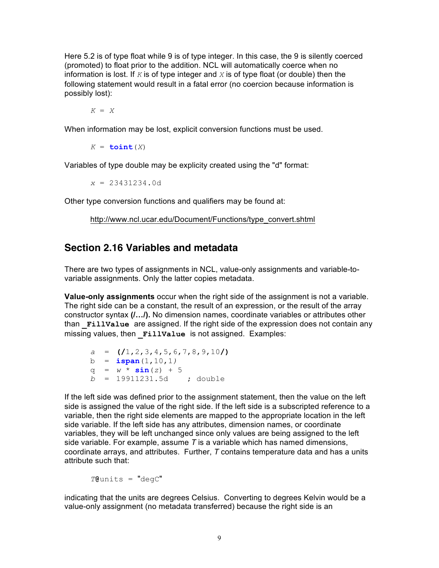Here 5.2 is of type float while 9 is of type integer. In this case, the 9 is silently coerced (promoted) to float prior to the addition. NCL will automatically coerce when no information is lost. If  $K$  is of type integer and  $X$  is of type float (or double) then the following statement would result in a fatal error (no coercion because information is possibly lost):

*K* = *X*

When information may be lost, explicit conversion functions must be used.

 $K = \text{toint}(X)$ 

Variables of type double may be explicity created using the "d" format:

*x* = 23431234.0d

Other type conversion functions and qualifiers may be found at:

http://www.ncl.ucar.edu/Document/Functions/type\_convert.shtml

## **Section 2.16 Variables and metadata**

There are two types of assignments in NCL, value-only assignments and variable-tovariable assignments. Only the latter copies metadata.

**Value-only assignments** occur when the right side of the assignment is not a variable. The right side can be a constant, the result of an expression, or the result of the array constructor syntax **(/…/).** No dimension names, coordinate variables or attributes other than **\_FillValue** are assigned. If the right side of the expression does not contain any missing values, then **FillValue** is not assigned. Examples:

```
a = (/1,2,3,4,5,6,7,8,9,10/)
b = ispan(1,10,1)
q = w * sin(z) + 5b = 19911231.5d ; double
```
If the left side was defined prior to the assignment statement, then the value on the left side is assigned the value of the right side. If the left side is a subscripted reference to a variable, then the right side elements are mapped to the appropriate location in the left side variable. If the left side has any attributes, dimension names, or coordinate variables, they will be left unchanged since only values are being assigned to the left side variable. For example, assume *T* is a variable which has named dimensions, coordinate arrays, and attributes. Further, *T* contains temperature data and has a units attribute such that:

*T***@**units = "degC"

indicating that the units are degrees Celsius. Converting to degrees Kelvin would be a value-only assignment (no metadata transferred) because the right side is an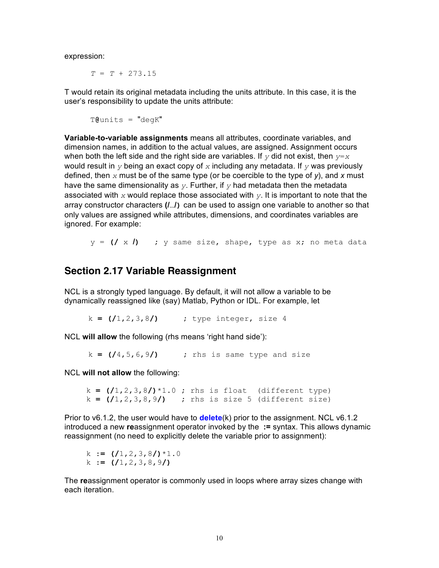expression:

*T* = *T* + 273.15

T would retain its original metadata including the units attribute. In this case, it is the user's responsibility to update the units attribute:

T**@**units = "degK"

**Variable-to-variable assignments** means all attributes, coordinate variables, and dimension names, in addition to the actual values, are assigned. Assignment occurs when both the left side and the right side are variables. If *y* did not exist, then *y*=*x* would result in *y* being an exact copy of *x* including any metadata. If *y* was previously defined, then *x* must be of the same type (or be coercible to the type of *y*), and *x* must have the same dimensionality as *y*. Further, if *y* had metadata then the metadata associated with *x* would replace those associated with *y*. It is important to note that the array constructor characters **(/**…**/)** can be used to assign one variable to another so that only values are assigned while attributes, dimensions, and coordinates variables are ignored. For example:

y = **(/** x **/) ;** y same size, shape, type as x; no meta data

## **Section 2.17 Variable Reassignment**

NCL is a strongly typed language. By default, it will not allow a variable to be dynamically reassigned like (say) Matlab, Python or IDL. For example, let

k **= (/**1,2,3,8**/) ;** type integer, size 4

NCL **will allow** the following (rhs means 'right hand side'):

k **= (/**4,5,6,9**/) ;** rhs is same type and size

NCL **will not allow** the following:

 $k = (1, 2, 3, 8) * 1.0$ ; *rhs* is float (different type) k **= (/**1,2,3,8,9**/) ;** rhs is size 5 (different size)

Prior to v6.1.2, the user would have to **delete**(k) prior to the assignment. NCL v6.1.2 introduced a new **re**assignment operator invoked by the **:=** syntax. This allows dynamic reassignment (no need to explicitly delete the variable prior to assignment):

```
 k := (/1,2,3,8/)*1.0
 k := (/1,2,3,8,9/)
```
The **re**assignment operator is commonly used in loops where array sizes change with each iteration.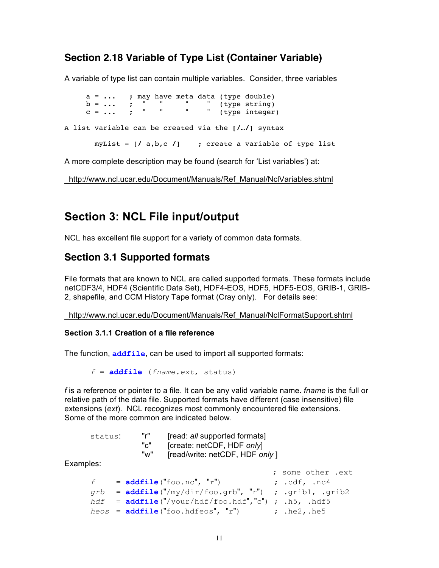## **Section 2.18 Variable of Type List (Container Variable)**

A variable of type list can contain multiple variables. Consider, three variables

 $a = \ldots$  ; may have meta data (type double)  $b = \ldots$  ; " " " (type string)  $c = \ldots$  ; " " " (type integer) A list variable can be created via the **[/**…**/]** syntax myList = **[/** a,b,c **/]** ; create a variable of type list

A more complete description may be found (search for 'List variables') at:

http://www.ncl.ucar.edu/Document/Manuals/Ref\_Manual/NclVariables.shtml

## **Section 3: NCL File input/output**

NCL has excellent file support for a variety of common data formats.

## **Section 3.1 Supported formats**

File formats that are known to NCL are called supported formats. These formats include netCDF3/4, HDF4 (Scientific Data Set), HDF4-EOS, HDF5, HDF5-EOS, GRIB-1, GRIB-2, shapefile, and CCM History Tape format (Cray only). For details see:

http://www.ncl.ucar.edu/Document/Manuals/Ref\_Manual/NclFormatSupport.shtml

#### **Section 3.1.1 Creation of a file reference**

The function, **addfile**, can be used to import all supported formats:

*f* = **addfile** (*fname.ext*, status)

*f* is a reference or pointer to a file. It can be any valid variable name. *fname* is the full or relative path of the data file. Supported formats have different (case insensitive) file extensions (*ext*). NCL recognizes most commonly encountered file extensions. Some of the more common are indicated below.

| status: | "r" | [read: all supported formats]   |
|---------|-----|---------------------------------|
|         | "c" | [create: netCDF, HDF only]      |
|         | "w" | [read/write: netCDF, HDF only ] |

Examples:

|   |                                                          | ; some other .ext        |
|---|----------------------------------------------------------|--------------------------|
| f | $= addfile("foo.nc", "r")$                               | ; $cdot$ . $cdf$ , $nc4$ |
|   | $qrb = addfile("/my/dir/foo.qrb", "r") ; .qrib1, .qrib2$ |                          |
|   | $hdf = addfile("/your/hdf/foo.hdf", 'c")$ ; .h5, .hdf5   |                          |
|   | $heos = addfile("foo.hdfeos", "r")$                      | $\ldots$ , $he2$ , $he5$ |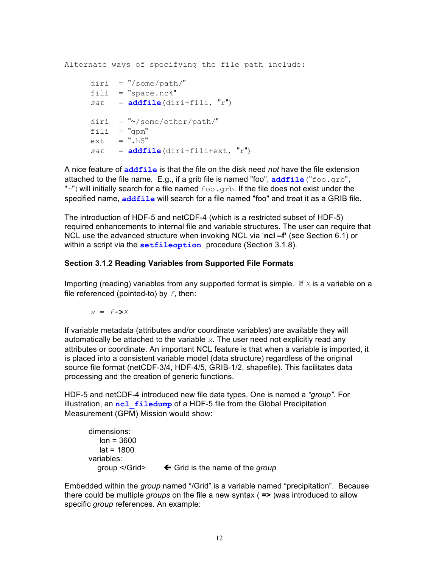Alternate ways of specifying the file path include:

```
diri = \sqrt{8}some/path/"
fili = "space.nc4"
sat = addfile(diri+fili, "r")
diri = "\sim/some/other/path."fili = "gpm"ext = ".h5"sat = addfile(diri+fili+ext, "r")
```
A nice feature of **addfile** is that the file on the disk need *not* have the file extension attached to the file name*.* E.g., if a grib file is named "foo", **addfile**("foo.grb", " $r$ ") will initially search for a file named  $f \circ \circ q$  and if the file does not exist under the specified name, **addfile** will search for a file named "foo" and treat it as a GRIB file.

The introduction of HDF-5 and netCDF-4 (which is a restricted subset of HDF-5) required enhancements to internal file and variable structures. The user can require that NCL use the advanced structure when invoking NCL via '**ncl –f'** (see Section 6.1) or within a script via the **setfileoption** procedure (Section 3.1.8).

#### **Section 3.1.2 Reading Variables from Supported File Formats**

Importing (reading) variables from any supported format is simple. If *X* is a variable on a file referenced (pointed-to) by *f*, then:

 $x = f - \sum X$ 

If variable metadata (attributes and/or coordinate variables) are available they will automatically be attached to the variable *x*. The user need not explicitly read any attributes or coordinate. An important NCL feature is that when a variable is imported, it is placed into a consistent variable model (data structure) regardless of the original source file format (netCDF-3/4, HDF-4/5, GRIB-1/2, shapefile). This facilitates data processing and the creation of generic functions.

HDF-5 and netCDF-4 introduced new file data types. One is named a *"group".* For illustration, an **ncl** filedump of a HDF-5 file from the Global Precipitation Measurement (GPM) Mission would show:

```
 dimensions:
   lon = 3600lat = 1800 variables:
  group </Grid>
\leftarrow Grid is the name of the group
```
Embedded within the *group* named "/Grid" is a variable named "precipitation". Because there could be multiple *groups* on the file a new syntax ( **=>** )was introduced to allow specific *group* references. An example: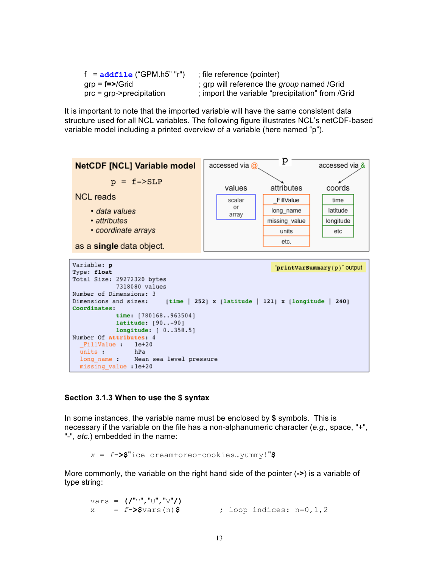| f = addfile ("GPM.h5" "r")                | ; file reference (pointer)                       |
|-------------------------------------------|--------------------------------------------------|
| $grp = f = >/Grid$                        | ; grp will reference the group named /Grid       |
| $\text{prc} = \text{grp}$ ->precipitation | ; import the variable "precipitation" from /Grid |

It is important to note that the imported variable will have the same consistent data structure used for all NCL variables. The following figure illustrates NCL's netCDF-based variable model including a printed overview of a variable (here named "p").



#### **Section 3.1.3 When to use the \$ syntax**

In some instances, the variable name must be enclosed by **\$** symbols. This is necessary if the variable on the file has a non-alphanumeric character (*e.g.,* space, "+", "-", *etc.*) embedded in the name:

*x* = *f***->\$**"ice cream+oreo-cookies…yummy!"**\$**

More commonly, the variable on the right hand side of the pointer (**->**) is a variable of type string:

vars = **(/**"T","U","V"**/)**  $x = f - \frac{5}{3} \text{vars}(n)$  **;** loop indices:  $n = 0, 1, 2$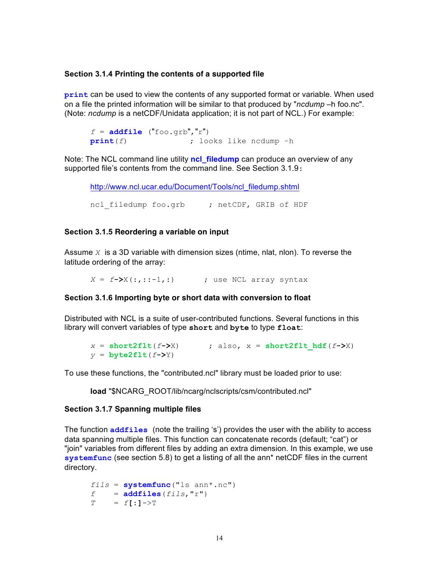#### **Section 3.1.4 Printing the contents of a supported file**

**print** can be used to view the contents of any supported format or variable. When used on a file the printed information will be similar to that produced by "*ncdump* –h foo.nc". (Note: *ncdump* is a netCDF/Unidata application; it is not part of NCL.) For example:

 $f = addfile('foo.getb", "r")$ **print**(*f*) ; looks like ncdump –h

Note: The NCL command line utility **ncl\_filedump** can produce an overview of any supported file's contents from the command line. See Section 3.1.9:

http://www.ncl.ucar.edu/Document/Tools/ncl\_filedump.shtml

ncl filedump foo.grb ; netCDF, GRIB of HDF

#### **Section 3.1.5 Reordering a variable on input**

Assume *X* is a 3D variable with dimension sizes (ntime, nlat, nlon). To reverse the latitude ordering of the array:

*X* = *f***->**X(:,::-1,:) ; use NCL array syntax

#### **Section 3.1.6 Importing byte or short data with conversion to float**

Distributed with NCL is a suite of user-contributed functions. Several functions in this library will convert variables of type **short** and **byte** to type **float**:

```
x = short2flt(f->X) ; also, x = short2flt hdf(f->X)
y = byte2flt(f->Y)
```
To use these functions, the "contributed.ncl" library must be loaded prior to use:

**load** "\$NCARG\_ROOT/lib/ncarg/nclscripts/csm/contributed.ncl"

#### **Section 3.1.7 Spanning multiple files**

The function **addfiles** (note the trailing 's') provides the user with the ability to access data spanning multiple files. This function can concatenate records (default; "cat") or "join" variables from different files by adding an extra dimension. In this example, we use **systemfunc** (see section 5.8) to get a listing of all the ann\* netCDF files in the current directory.

```
fils = systemfunc("ls ann*.nc")f = addfiles(fils, "r")T = f[:]->T
```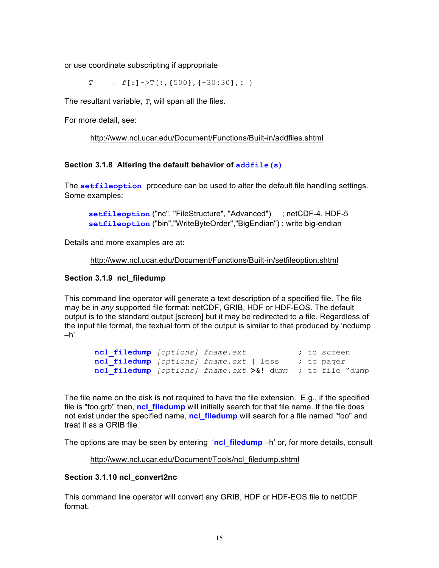or use coordinate subscripting if appropriate

*T* = *f***[**:**]**->T(**:**,**{**500**}**,**{**-30**:**30**}**,**:** )

The resultant variable, *T*, will span all the files.

For more detail, see:

```
http://www.ncl.ucar.edu/Document/Functions/Built-in/addfiles.shtml
```
#### **Section 3.1.8 Altering the default behavior of <b>***addfile(s)*

The **setfileoption** procedure can be used to alter the default file handling settings. Some examples:

```
setfileoption ("nc", "FileStructure", "Advanced") ; netCDF-4, HDF-5
 setfileoption ("bin","WriteByteOrder","BigEndian") ; write big-endian
```
Details and more examples are at:

```
http://www.ncl.ucar.edu/Document/Functions/Built-in/setfileoption.shtml
```
#### **Section 3.1.9 ncl\_filedump**

This command line operator will generate a text description of a specified file. The file may be in *any* supported file format: netCDF, GRIB, HDF or HDF-EOS. The default output is to the standard output [screen] but it may be redirected to a file. Regardless of the input file format, the textual form of the output is similar to that produced by 'ncdump –h'.

```
 ncl_filedump [options] fname.ext ; to screen
 ncl_filedump [options] fname.ext | less ; to pager
 ncl_filedump [options] fname.ext >&! dump ; to file "dump
```
The file name on the disk is not required to have the file extension*.* E.g., if the specified file is "foo.grb" then, **ncl\_filedump** will initially search for that file name. If the file does not exist under the specified name, **ncl\_filedump** will search for a file named "foo" and treat it as a GRIB file.

The options are may be seen by entering '**ncl\_filedump** –h' or, for more details, consult

http://www.ncl.ucar.edu/Document/Tools/ncl\_filedump.shtml

#### **Section 3.1.10 ncl\_convert2nc**

This command line operator will convert any GRIB, HDF or HDF-EOS file to netCDF format.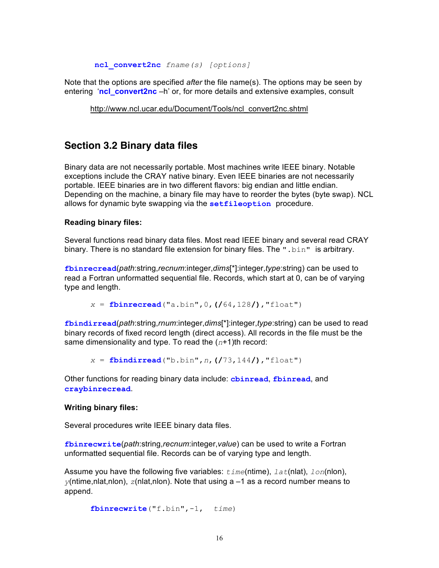**ncl\_convert2nc** *fname(s) [options]*

Note that the options are specified *after* the file name(s). The options may be seen by entering '**ncl\_convert2nc** –h' or, for more details and extensive examples, consult

http://www.ncl.ucar.edu/Document/Tools/ncl\_convert2nc.shtml

## **Section 3.2 Binary data files**

Binary data are not necessarily portable. Most machines write IEEE binary. Notable exceptions include the CRAY native binary. Even IEEE binaries are not necessarily portable. IEEE binaries are in two different flavors: big endian and little endian. Depending on the machine, a binary file may have to reorder the bytes (byte swap). NCL allows for dynamic byte swapping via the **setfileoption** procedure.

#### **Reading binary files:**

Several functions read binary data files. Most read IEEE binary and several read CRAY binary. There is no standard file extension for binary files. The ".bin**"** is arbitrary.

**fbinrecread**(*path*:string,*recnum*:integer,*dims*[\*]:integer,*type*:string) can be used to read a Fortran unformatted sequential file. Records, which start at 0, can be of varying type and length.

*x* = **fbinrecread**("a.bin",0,**(/**64,128**/)**,"float")

**fbindirread**(*path*:string,*rnum*:integer,*dims*[\*]:integer,*type*:string) can be used to read binary records of fixed record length (direct access). All records in the file must be the same dimensionality and type. To read the (*n*+1)th record:

*x* = **fbindirread**("b.bin",*n*,**(/**73,144**/)**,"float")

Other functions for reading binary data include: **cbinread**, **fbinread**, and **craybinrecread**.

#### **Writing binary files:**

Several procedures write IEEE binary data files.

**fbinrecwrite**(*path*:string,*recnum*:integer,*value*) can be used to write a Fortran unformatted sequential file. Records can be of varying type and length.

Assume you have the following five variables: *time*(ntime), *lat*(nlat), *lon*(nlon),  $y$ (ntime,nlat,nlon),  $z$ (nlat,nlon). Note that using a  $-1$  as a record number means to append.

**fbinrecwrite**("f.bin",-1, *time*)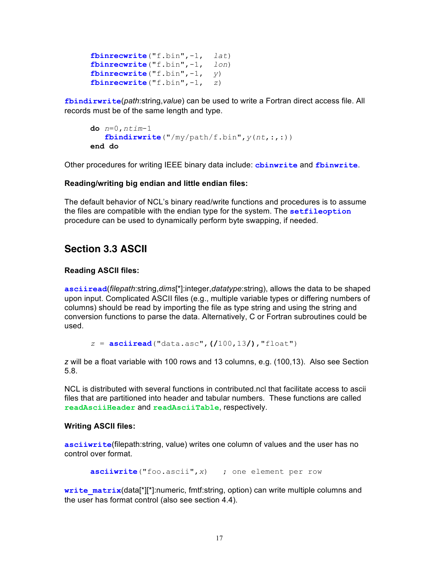**fbinrecwrite**("f.bin",-1, *lat*) **fbinrecwrite**("f.bin",-1, *lon*) **fbinrecwrite**("f.bin",-1, *y*) **fbinrecwrite**("f.bin",-1, *z*)

**fbindirwrite**(*path*:string,*value*) can be used to write a Fortran direct access file. All records must be of the same length and type.

```
do n=0,ntim-1
    fbindirwrite("/my/path/f.bin",y(nt,:,:))
end do
```
Other procedures for writing IEEE binary data include: **cbinwrite** and **fbinwrite**.

#### **Reading/writing big endian and little endian files:**

The default behavior of NCL's binary read/write functions and procedures is to assume the files are compatible with the endian type for the system. The **setfileoption** procedure can be used to dynamically perform byte swapping, if needed.

## **Section 3.3 ASCII**

#### **Reading ASCII files:**

**asciiread**(*filepath*:string,*dims*[\*]:integer,*datatype*:string), allows the data to be shaped upon input. Complicated ASCII files (e.g., multiple variable types or differing numbers of columns) should be read by importing the file as type string and using the string and conversion functions to parse the data. Alternatively, C or Fortran subroutines could be used.

```
z = asciiread("data.asc",(/100,13/),"float")
```
*z* will be a float variable with 100 rows and 13 columns, e.g. (100,13). Also see Section 5.8.

NCL is distributed with several functions in contributed.ncl that facilitate access to ascii files that are partitioned into header and tabular numbers. These functions are called **readAsciiHeader** and **readAsciiTable**, respectively.

#### **Writing ASCII files:**

**asciiwrite**(filepath:string, value) writes one column of values and the user has no control over format.

**asciiwrite**("foo.ascii",*x*) ; one element per row

write matrix(data[\*][\*]:numeric, fmtf:string, option) can write multiple columns and the user has format control (also see section 4.4).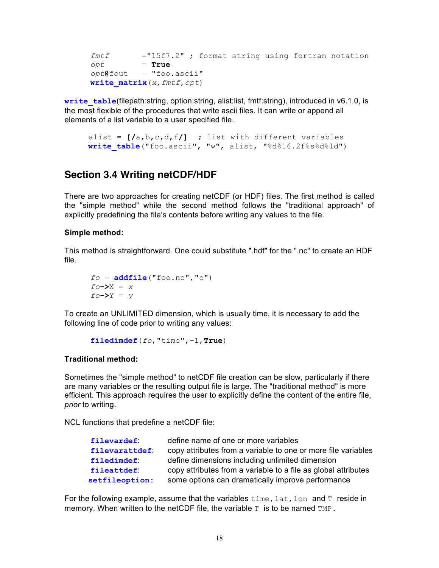*fmtf* ="15f7.2" ; format string using fortran notation *opt* = **True** *opt***@**fout = "foo.ascii" **write\_matrix**(*x*,*fmtf*,*opt*)

**write table**(filepath:string, option:string, alist:list, fmtf:string), introduced in v6.1.0, is the most flexible of the procedures that write ascii files. It can write or append all elements of a list variable to a user specified file.

 alist = **[/**a,b,c,d,f**/] ;** list with different variables write table<sup>("foo.ascii", "w", alist, "%d%16.2f%s%d%ld")</sup>

## **Section 3.4 Writing netCDF/HDF**

There are two approaches for creating netCDF (or HDF) files. The first method is called the "simple method" while the second method follows the "traditional approach" of explicitly predefining the file's contents before writing any values to the file.

#### **Simple method:**

This method is straightforward. One could substitute ".hdf" for the ".nc" to create an HDF file.

$$
fo = addfile ("foo.nc", "c")
$$
  
fo->X = x  
fo->Y = y

To create an UNLIMITED dimension, which is usually time, it is necessary to add the following line of code prior to writing any values:

**filedimdef**(*fo*,"time",-1,**True**)

#### **Traditional method:**

Sometimes the "simple method" to netCDF file creation can be slow, particularly if there are many variables or the resulting output file is large. The "traditional method" is more efficient. This approach requires the user to explicitly define the content of the entire file, *prior* to writing.

NCL functions that predefine a netCDF file:

| define name of one or more variables                           |
|----------------------------------------------------------------|
| copy attributes from a variable to one or more file variables  |
| define dimensions including unlimited dimension                |
| copy attributes from a variable to a file as global attributes |
| some options can dramatically improve performance              |
|                                                                |

For the following example, assume that the variables  $\tt time$ , lat, lon and T reside in memory. When written to the netCDF file, the variable  $T$  is to be named  $TMP$ .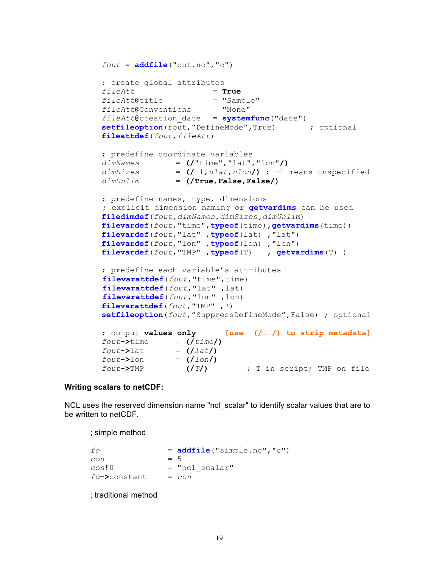```
fout = <b>addfile</b>("out.nc", "c"); create global attributes
fileAtt = True
fileAtt@title = "Sample"
fileAtt@Conventions = "None"
fileAtt@creation_date = systemfunc("date")
setfileoption(fout, "DefineMode", True) ; optional
fileattdef(fout,fileAtt)
; predefine coordinate variables
dimNames = (/"time","lat","lon"/)
dimSizes = (/-1,nlat,nlon/) ; -1 means unspecified 
dimUnlim = (/True,False,False/)
; predefine names, type, dimensions
 ; explicit dimension naming or getvardims can be used
filedimdef(fout,dimNames,dimSizes,dimUnlim)
filevardef(fout,"time",typeof(time),getvardims(time))
filevardef(fout,"lat" ,typeof(lat) ,"lat")
filevardef(fout,"lon" ,typeof(lon) ,"lon")
filevardef(fout,"TMP" ,typeof(T) , getvardims(T) )
; predefine each variable's attributes 
 filevarattdef(fout,"time",time)
 filevarattdef(fout,"lat" ,lat)
 filevarattdef(fout,"lon" ,lon)
filevarattdef(fout,"TMP" ,T) 
setfileoption(fout,"SuppressDefineMode",False) ; optional
; output values only [use (/… /) to strip metadata]
fout \rightarrow time = (ftime)fout \rightarrow lat = (/lat)fout->lon = (/lon/)
```
#### **Writing scalars to netCDF:**

NCL uses the reserved dimension name "ncl\_scalar" to identify scalar values that are to be written to netCDF.

*fout***->**TMP = **(/***T***/)** ; T in script; TMP on file

; simple method

```
f \circ = addfile("simple.nc","c")
con = 5
con!0 = "ncl_scalar"
fo->constant = con
```
; traditional method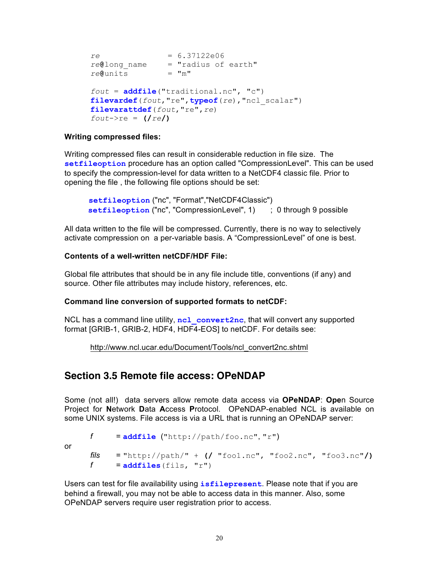```
re = 6.37122e06
re@long_name = "radius of earth"
reQunits = "m"fout = addfile("traditional.nc", "c")
filevardef(fout,"re",typeof(re),"ncl_scalar")
filevarattdef(fout,"re",re)
fout->re = (/re/)
```
#### **Writing compressed files:**

or

Writing compressed files can result in considerable reduction in file size. The **setfileoption** procedure has an option called "CompressionLevel". This can be used to specify the compression-level for data written to a NetCDF4 classic file. Prior to opening the file , the following file options should be set:

```
 setfileoption ("nc", "Format","NetCDF4Classic")
setfileoption ("nc", "CompressionLevel", 1) ; 0 through 9 possible
```
All data written to the file will be compressed. Currently, there is no way to selectively activate compression on a per-variable basis. A "CompressionLevel" of one is best.

#### **Contents of a well-written netCDF/HDF File:**

Global file attributes that should be in any file include title, conventions (if any) and source. Other file attributes may include history, references, etc.

#### **Command line conversion of supported formats to netCDF:**

NCL has a command line utility, **ncl\_convert2nc**, that will convert any supported format [GRIB-1, GRIB-2, HDF4, HDF4-EOS] to netCDF. For details see:

http://www.ncl.ucar.edu/Document/Tools/ncl\_convert2nc.shtml

## **Section 3.5 Remote file access: OPeNDAP**

Some (not all!) data servers allow remote data access via **OPeNDAP**: **Ope**n Source Project for **N**etwork **D**ata **A**ccess **P**rotocol. OPeNDAP-enabled NCL is available on some UNIX systems. File access is via a URL that is running an OPeNDAP server:

```
\n
$$
f = \naddfile("http://path/foo.nc", "r")
$$
\n\n
$$
f \n = "http://path/~ + (/ "foo1.nc", "foo2.nc", "foo3.nc" /)
$$
\n\n
$$
f = \naddfiles(fils, "r")
$$
\n
```

Users can test for file availability using **isfilepresent**. Please note that if you are behind a firewall, you may not be able to access data in this manner. Also, some OPeNDAP servers require user registration prior to access.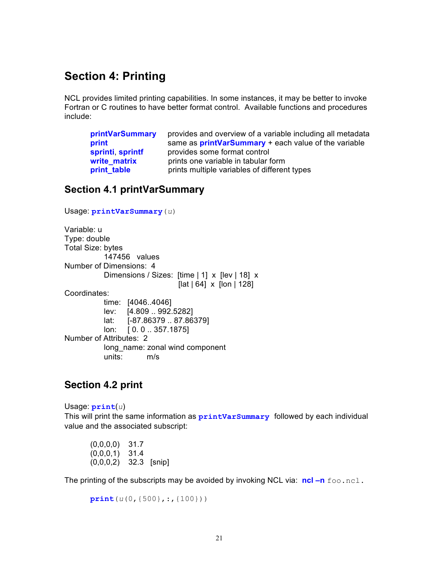## **Section 4: Printing**

NCL provides limited printing capabilities. In some instances, it may be better to invoke Fortran or C routines to have better format control. Available functions and procedures include:

| <b>printVarSummary</b> | provides and overview of a variable including all metadata  |
|------------------------|-------------------------------------------------------------|
| print                  | same as <b>printVarSummary</b> + each value of the variable |
| sprinti sprintf        | provides some format control                                |
| write matrix           | prints one variable in tabular form                         |
| print_table            | prints multiple variables of different types                |

## **Section 4.1 printVarSummary**

```
Usage: printVarSummary(u)
Variable: u
Type: double
Total Size: bytes
           147456 values
Number of Dimensions: 4
          Dimensions / Sizes: [time | 1] x [lev | 18] x
                                [lat | 64] x [lon | 128]
Coordinates:
           time: [4046..4046]
           lev: [4.809 .. 992.5282]
           lat: [-87.86379 .. 87.86379]
           lon: [ 0. 0 .. 357.1875]
Number of Attributes: 2
          long name: zonal wind component
           units: m/s
```
## **Section 4.2 print**

Usage: **print**(*u*) This will print the same information as **printVarSummary** followed by each individual value and the associated subscript:

```
(0,0,0,0) 31.7
(0,0,0,1) 31.4
(0,0,0,2) 32.3 [snip]
```
The printing of the subscripts may be avoided by invoking NCL via: **ncl –n** foo.ncl.

```
print(u(0,{500},:,{100}))
```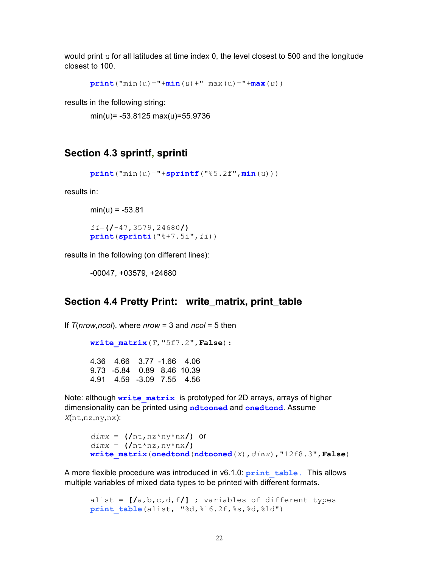would print *u* for all latitudes at time index 0, the level closest to 500 and the longitude closest to 100.

```
print("min(u)="+min(u)+" max(u)="+max(u))
```
results in the following string:

min(u)= -53.8125 max(u)=55.9736

## **Section 4.3 sprintf, sprinti**

```
print("min(u)="+sprintf("%5.2f",min(u)))
```
results in:

```
min(u) = -53.81ii=(/-47,3579,24680/)
print(sprinti("%+7.5i",ii))
```
results in the following (on different lines):

-00047, +03579, +24680

## **Section 4.4 Pretty Print: write\_matrix, print\_table**

```
If T(nrow,ncol), where nrow = 3 and ncol = 5 then
```

```
write_matrix(T,"5f7.2",False):
4.36 4.66 3.77 -1.66 4.06
9.73 -5.84 0.89 8.46 10.39
4.91 4.59 -3.09 7.55 4.56
```
Note: although write matrix is prototyped for 2D arrays, arrays of higher dimensionality can be printed using **ndtooned** and **onedtond**. Assume *X*(nt,nz,ny,nx):

```
dimx = (/nt,nz*ny*nx/) or
dimx = (/nt*nz,ny*nx/)
write_matrix(onedtond(ndtooned(X),dimx),"12f8.3",False)
```
A more flexible procedure was introduced in v6.1.0: **print\_table.** This allows multiple variables of mixed data types to be printed with different formats.

 alist = **[/**a,b,c,d,f**/]** ; variables of different types **print table**(alist, "%d,%16.2f,%s,%d,%ld")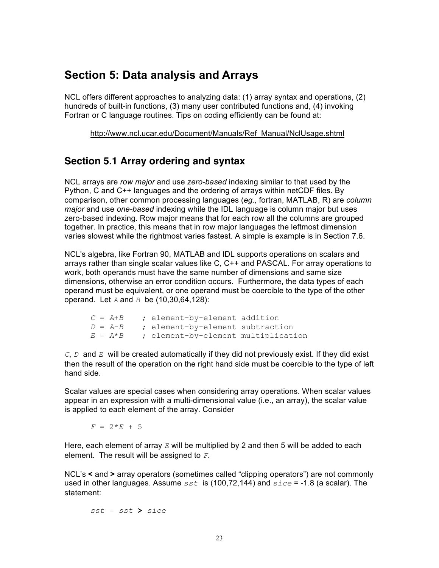## **Section 5: Data analysis and Arrays**

NCL offers different approaches to analyzing data: (1) array syntax and operations, (2) hundreds of built-in functions, (3) many user contributed functions and, (4) invoking Fortran or C language routines. Tips on coding efficiently can be found at:

http://www.ncl.ucar.edu/Document/Manuals/Ref\_Manual/NclUsage.shtml

## **Section 5.1 Array ordering and syntax**

NCL arrays are *row major* and use *zero-based* indexing similar to that used by the Python, C and C++ languages and the ordering of arrays within netCDF files. By comparison, other common processing languages (*eg.,* fortran, MATLAB, R) are *column major* and use *one-based* indexing while the IDL language is column major but uses zero-based indexing. Row major means that for each row all the columns are grouped together. In practice, this means that in row major languages the leftmost dimension varies slowest while the rightmost varies fastest. A simple is example is in Section 7.6.

NCL's algebra, like Fortran 90, MATLAB and IDL supports operations on scalars and arrays rather than single scalar values like C, C++ and PASCAL. For array operations to work, both operands must have the same number of dimensions and same size dimensions, otherwise an error condition occurs. Furthermore, the data types of each operand must be equivalent, or one operand must be coercible to the type of the other operand. Let *A* and *B* be (10,30,64,128):

| $C = A+B$   | ; element-by-element addition       |  |
|-------------|-------------------------------------|--|
| $D = A - B$ | ; element-by-element subtraction    |  |
| $E = A^*B$  | ; element-by-element multiplication |  |

*C*, *D* and *E* will be created automatically if they did not previously exist. If they did exist then the result of the operation on the right hand side must be coercible to the type of left hand side.

Scalar values are special cases when considering array operations. When scalar values appear in an expression with a multi-dimensional value (i.e., an array), the scalar value is applied to each element of the array. Consider

 $F = 2*E + 5$ 

Here, each element of array *E* will be multiplied by 2 and then 5 will be added to each element. The result will be assigned to *F*.

NCL's **<** and **>** array operators (sometimes called "clipping operators") are not commonly used in other languages. Assume *sst* is (100,72,144) and *sice* = -1.8 (a scalar). The statement:

*sst* = *sst* **>** *sice*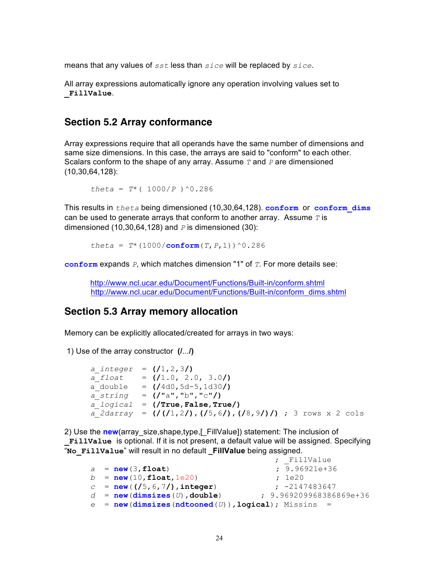means that any values of *sst* less than *sice* will be replaced by *sice*.

All array expressions automatically ignore any operation involving values set to **\_FillValue**.

## **Section 5.2 Array conformance**

Array expressions require that all operands have the same number of dimensions and same size dimensions. In this case, the arrays are said to "conform" to each other. Scalars conform to the shape of any array. Assume *T* and *P* are dimensioned (10,30,64,128):

*theta* =  $T^*$  ( 1000/*P* ) ^0.286

This results in *theta* being dimensioned (10,30,64,128). **conform** or **conform\_dims** can be used to generate arrays that conform to another array. Assume *T* is dimensioned (10,30,64,128) and *P* is dimensioned (30):

*theta* =  $T^*$  (1000/**conform**(*T*,*P*, 1)) ^0.286

**conform** expands *P*, which matches dimension "1" of *T*. For more details see:

http://www.ncl.ucar.edu/Document/Functions/Built-in/conform.shtml http://www.ncl.ucar.edu/Document/Functions/Built-in/conform\_dims.shtml

#### **Section 5.3 Array memory allocation**

Memory can be explicitly allocated/created for arrays in two ways:

1) Use of the array constructor **(/**...**/)**

```
a_integer = (/1,2,3/)
a_float = (/1.0, 2.0, 3.0/)
a_double = (/4d0,5d-5,1d30/)
a_string = (/"a","b","c"/)
a_logical = (/True,False,True/)
a_2darray = (/(/1,2/),(/5,6/),(/8,9/)/) ; 3 rows x 2 cols
```
2) Use the **new**(array\_size,shape,type,[\_FillValue]) statement: The inclusion of **\_FillValue** is optional. If it is not present, a default value will be assigned. Specifying "**No\_FillValue**" will result in no default **\_FillValue** being assigned.

```
; FillValue
a = new(3,float) ; 9.96921e+36
b = new(10,float,1e20) ; 1e20
c = new((15, 6, 7)), integer) ; -2147483647
d = new(dimsizes(U),double) ; 9.969209968386869e+36
e = new(dimsizes(ndtooned(U)),logical); Missins =
```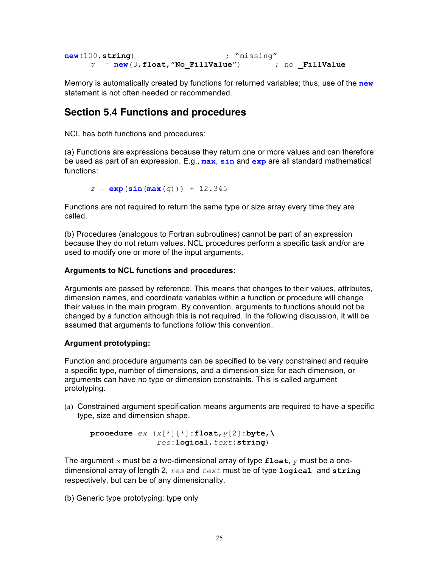```
new(100,string) ; "missing"
    q = new(3,float,"No_FillValue") ; no _FillValue
```
Memory is automatically created by functions for returned variables; thus, use of the **new** statement is not often needed or recommended.

## **Section 5.4 Functions and procedures**

NCL has both functions and procedures:

(a) Functions are expressions because they return one or more values and can therefore be used as part of an expression. E.g., **max**, **sin** and **exp** are all standard mathematical functions:

*z* = **exp**(**sin**(**max**(*q*))) + 12.345

Functions are not required to return the same type or size array every time they are called.

(b) Procedures (analogous to Fortran subroutines) cannot be part of an expression because they do not return values. NCL procedures perform a specific task and/or are used to modify one or more of the input arguments.

#### **Arguments to NCL functions and procedures:**

Arguments are passed by reference. This means that changes to their values, attributes, dimension names, and coordinate variables within a function or procedure will change their values in the main program. By convention, arguments to functions should not be changed by a function although this is not required. In the following discussion, it will be assumed that arguments to functions follow this convention.

#### **Argument prototyping:**

Function and procedure arguments can be specified to be very constrained and require a specific type, number of dimensions, and a dimension size for each dimension, or arguments can have no type or dimension constraints. This is called argument prototyping.

(a) Constrained argument specification means arguments are required to have a specific type, size and dimension shape.

**procedure** *ex* (*x*[\*][\*]:**float**,*y*[2]:**byte**,**\**  *res*:**logical**,*text*:**string**)

The argument *x* must be a two-dimensional array of type **float**, *y* must be a onedimensional array of length 2, *res* and *text* must be of type **logical** and **string** respectively, but can be of any dimensionality.

(b) Generic type prototyping: type only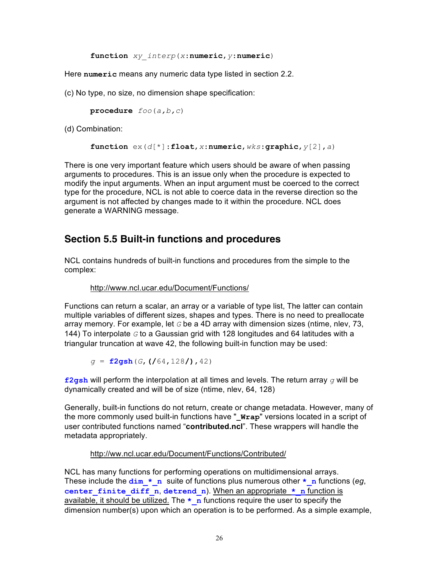**function** *xy\_interp*(*x*:**numeric**,*y*:**numeric**)

Here **numeric** means any numeric data type listed in section 2.2.

(c) No type, no size, no dimension shape specification:

**procedure** *foo*(*a,b,c*)

(d) Combination:

```
function ex(d[*]:float,x:numeric,wks:graphic,y[2],a)
```
There is one very important feature which users should be aware of when passing arguments to procedures. This is an issue only when the procedure is expected to modify the input arguments. When an input argument must be coerced to the correct type for the procedure, NCL is not able to coerce data in the reverse direction so the argument is not affected by changes made to it within the procedure. NCL does generate a WARNING message.

## **Section 5.5 Built-in functions and procedures**

NCL contains hundreds of built-in functions and procedures from the simple to the complex:

#### http://www.ncl.ucar.edu/Document/Functions/

Functions can return a scalar, an array or a variable of type list, The latter can contain multiple variables of different sizes, shapes and types. There is no need to preallocate array memory. For example, let *G* be a 4D array with dimension sizes (ntime, nlev, 73, 144) To interpolate *G* to a Gaussian grid with 128 longitudes and 64 latitudes with a triangular truncation at wave 42, the following built-in function may be used:

*g* = **f2gsh**(*G*,**(/**64,128**/)**,42)

**f2gsh** will perform the interpolation at all times and levels. The return array *g* will be dynamically created and will be of size (ntime, nlev, 64, 128)

Generally, built-in functions do not return, create or change metadata. However, many of the more commonly used built-in functions have "**\_Wrap**" versions located in a script of user contributed functions named "**contributed.ncl**". These wrappers will handle the metadata appropriately.

#### http://ww.ncl.ucar.edu/Document/Functions/Contributed/

NCL has many functions for performing operations on multidimensional arrays. These include the  $\dim *n$  suite of functions plus numerous other  $*n$  functions (*eg*, **center finite diff n, detrend n). When an appropriate**  $*$  **n function is** available, it should be utilized. The **\*\_n** functions require the user to specify the dimension number(s) upon which an operation is to be performed. As a simple example,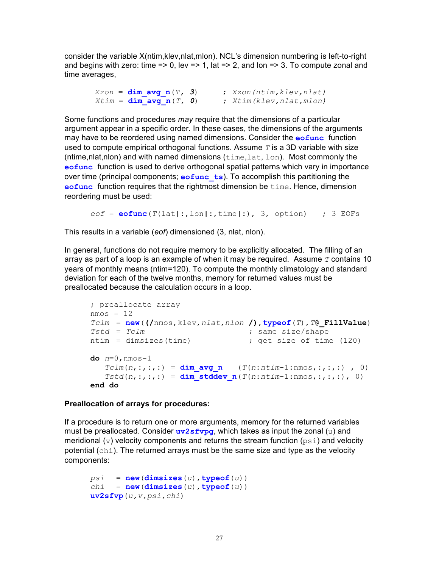consider the variable X(ntim,klev,nlat,mlon). NCL's dimension numbering is left-to-right and begins with zero: time => 0, lev => 1, lat => 2, and lon => 3. To compute zonal and time averages,

 *Xzon* = **dim\_avg\_n**(*T, 3*) ; *Xzon(ntim,klev,nlat)*  $X \text{tim} = \text{dim} \text{avg } n(T, 0)$  ;  $X \text{tim}(k \text{lev}, n \text{lat}, m \text{lon})$ 

Some functions and procedures *may* require that the dimensions of a particular argument appear in a specific order. In these cases, the dimensions of the arguments may have to be reordered using named dimensions. Consider the **eofunc** function used to compute empirical orthogonal functions. Assume *T* is a 3D variable with size (ntime,nlat,nlon) and with named dimensions  $(\text{time}, \text{lat}, \text{lon})$ . Most commonly the **eofunc** function is used to derive orthogonal spatial patterns which vary in importance over time (principal components; **eofunc\_ts**). To accomplish this partitioning the **eofunc** function requires that the rightmost dimension be time. Hence, dimension reordering must be used:

 $e$ of =  $e$ **ofunc**( $T$ (lat|:,lon|:,time|:), 3, option) ; 3 EOFs

This results in a variable (*eof*) dimensioned (3, nlat, nlon).

In general, functions do not require memory to be explicitly allocated. The filling of an array as part of a loop is an example of when it may be required. Assume *T* contains 10 years of monthly means (ntim=120). To compute the monthly climatology and standard deviation for each of the twelve months, memory for returned values must be preallocated because the calculation occurs in a loop.

```
; preallocate array
nmos = 12Tclm = new((/nmos,klev,nlat,nlon /),typeof(T),T@_FillValue)
Tstd = Tclm<br>
ntim = dimsizes(time)<br>
j qet size of time: qet size of time (120)
do n=0,nmos-1
   Tclm(n, :, :, :) = \dim \{avg\ n\} (T(n:nti m-1:n m \in S, :, :, :) , 0)
   Tstd(n,:,:,:) = dim stddev n(T(n:ntim-1:nmos,:,:,:)), 0)
end do
```
#### **Preallocation of arrays for procedures:**

If a procedure is to return one or more arguments, memory for the returned variables must be preallocated. Consider  $uv2sfvpq$ , which takes as input the zonal  $(u)$  and meridional (v) velocity components and returns the stream function ( $psi$ ) and velocity potential  $(\text{chi})$ . The returned arrays must be the same size and type as the velocity components:

```
psi = new(dimsizes(u), typeof(u))chi = new (dimsizes (u), typeof (u))
uv2sfvp(u,v,psi,chi)
```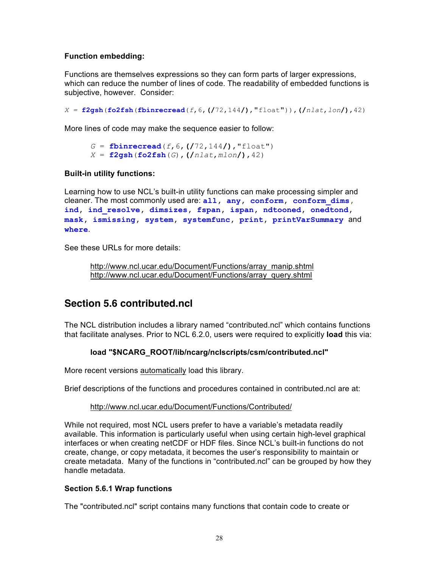#### **Function embedding:**

Functions are themselves expressions so they can form parts of larger expressions, which can reduce the number of lines of code. The readability of embedded functions is subjective, however. Consider:

*X =* **f2gsh**(**fo2fsh**(**fbinrecread**(*f*,6,**(/**72,144**/)**,"float")),**(/***nlat*,*lon***/)**,42)

More lines of code may make the sequence easier to follow:

```
G = fbinrecread(f, 6, (72, 144)), "float")
X = \textbf{f2qsh}(\textbf{fo2fsh}(G), (\textit{Inlat}, \text{mlon}), 42)
```
#### **Built-in utility functions:**

Learning how to use NCL's built-in utility functions can make processing simpler and cleaner. The most commonly used are: **all, any, conform, conform\_dims, ind, ind\_resolve, dimsizes, fspan, ispan, ndtooned, onedtond, mask, ismissing, system, systemfunc, print, printVarSummary** and **where**.

See these URLs for more details:

```
http://www.ncl.ucar.edu/Document/Functions/array_manip.shtml
http://www.ncl.ucar.edu/Document/Functions/array_query.shtml
```
## **Section 5.6 contributed.ncl**

The NCL distribution includes a library named "contributed.ncl" which contains functions that facilitate analyses. Prior to NCL 6.2.0, users were required to explicitly **load** this via:

## **load "\$NCARG\_ROOT/lib/ncarg/nclscripts/csm/contributed.ncl"**

More recent versions automatically load this library.

Brief descriptions of the functions and procedures contained in contributed.ncl are at:

#### http://www.ncl.ucar.edu/Document/Functions/Contributed/

While not required, most NCL users prefer to have a variable's metadata readily available. This information is particularly useful when using certain high-level graphical interfaces or when creating netCDF or HDF files. Since NCL's built-in functions do not create, change, or copy metadata, it becomes the user's responsibility to maintain or create metadata. Many of the functions in "contributed.ncl" can be grouped by how they handle metadata.

#### **Section 5.6.1 Wrap functions**

The "contributed.ncl" script contains many functions that contain code to create or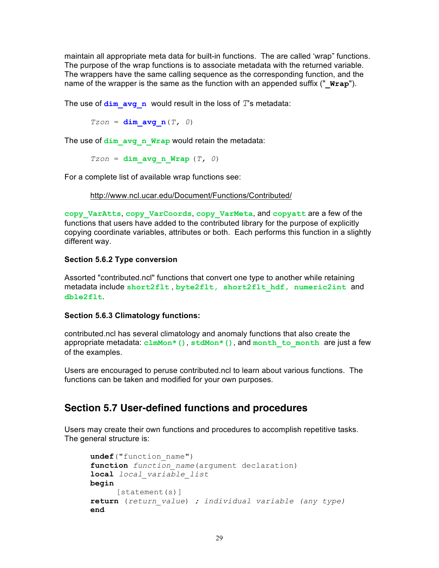maintain all appropriate meta data for built-in functions. The are called 'wrap" functions. The purpose of the wrap functions is to associate metadata with the returned variable. The wrappers have the same calling sequence as the corresponding function, and the name of the wrapper is the same as the function with an appended suffix ("**Wrap**").

The use of  $\dim$  avg n would result in the loss of  $T$ 's metadata:

 $Tzon = dim avg n(T, 0)$ 

The use of dim avg n Wrap would retain the metadata:

 $Tzon = dim avg n Wrap (T, 0)$ 

For a complete list of available wrap functions see:

http://www.ncl.ucar.edu/Document/Functions/Contributed/

**copy\_VarAtts**, **copy\_VarCoords**, **copy\_VarMeta**, and **copyatt** are a few of the functions that users have added to the contributed library for the purpose of explicitly copying coordinate variables, attributes or both. Each performs this function in a slightly different way.

#### **Section 5.6.2 Type conversion**

Assorted "contributed.ncl" functions that convert one type to another while retaining metadata include **short2flt** , **byte2flt, short2flt\_hdf, numeric2int** and **dble2flt**.

#### **Section 5.6.3 Climatology functions:**

contributed.ncl has several climatology and anomaly functions that also create the appropriate metadata: **clmMon\*()**, **stdMon\*()**, and **month\_to\_month** are just a few of the examples.

Users are encouraged to peruse contributed.ncl to learn about various functions. The functions can be taken and modified for your own purposes.

## **Section 5.7 User-defined functions and procedures**

Users may create their own functions and procedures to accomplish repetitive tasks. The general structure is:

```
undef("function_name")
function function_name(argument declaration)
local local_variable_list
begin
     [statement(s)]
return (return_value) ; individual variable (any type)
end
```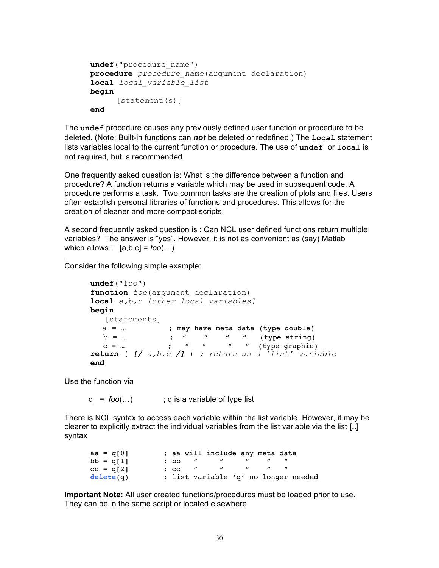```
undef("procedure_name")
procedure procedure_name(argument declaration)
local local_variable_list
begin
     [statement(s)]
end
```
The **undef** procedure causes any previously defined user function or procedure to be deleted. (Note: Built-in functions can *not* be deleted or redefined.) The **local** statement lists variables local to the current function or procedure. The use of **undef** or **local** is not required, but is recommended.

One frequently asked question is: What is the difference between a function and procedure? A function returns a variable which may be used in subsequent code. A procedure performs a task. Two common tasks are the creation of plots and files. Users often establish personal libraries of functions and procedures. This allows for the creation of cleaner and more compact scripts.

A second frequently asked question is : Can NCL user defined functions return multiple variables? The answer is "yes". However, it is not as convenient as (say) Matlab which allows :  $[a,b,c] = foo(...)$ 

Consider the following simple example:

```
undef("foo")
    function foo(argument declaration)
    local a,b,c [other local variables]
    begin
        [statements]
      a = ... ; may have meta data (type double)
b = ... ; " " " (type string)
c = ... ; " " " " (type graphic)
    return ( [/ a,b,c /] ) ; return as a 'list' variable
    end
```
Use the function via

.

q = *foo*(...) ; q is a variable of type list

There is NCL syntax to access each variable within the list variable. However, it may be clearer to explicitly extract the individual variables from the list variable via the list **[..]** syntax

| $aa = q[0]$ |                 |              | ; aa will include any meta data      |                |  |
|-------------|-----------------|--------------|--------------------------------------|----------------|--|
| $bb = q[1]$ | : bb            | $\mathbf{u}$ | $\mathbf{u}$                         | $\overline{u}$ |  |
| $cc = q[2]$ | $\mathcal{C}$ . |              |                                      |                |  |
| delete(q)   |                 |              | ; list variable 'q' no longer needed |                |  |

**Important Note:** All user created functions/procedures must be loaded prior to use. They can be in the same script or located elsewhere.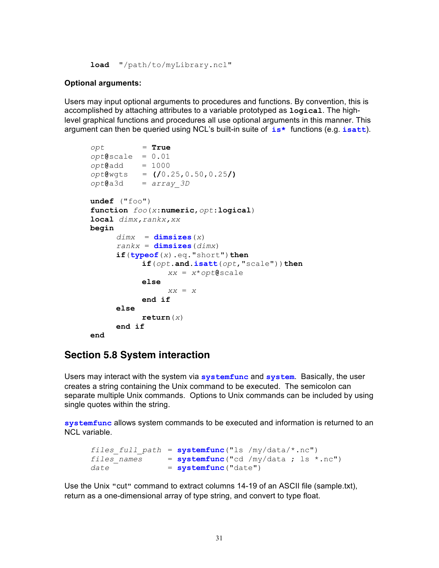```
load "/path/to/myLibrary.ncl"
```
#### **Optional arguments:**

Users may input optional arguments to procedures and functions. By convention, this is accomplished by attaching attributes to a variable prototyped as **logical**. The highlevel graphical functions and procedures all use optional arguments in this manner. This argument can then be queried using NCL's built-in suite of **is\*** functions (e.g. **isatt**).

```
opt = True
opt@scale = 0.01
opt@add = 1000 
opt@wgts = (/0.25,0.50,0.25/)
opt@a3d = array_3D 
undef ("foo")
function foo(x:numeric,opt:logical)
local dimx,rankx,xx 
begin
     dim x = dim sizes(x)rankx = <b>dimsizes</b>(<i>dimx</i>)if(typeof(x).eq."short")then
           if(opt.and.isatt(opt,"scale"))then
                xx = x*opt@scale
           else
                xx = x
           end if
     else
           return(x)
     end if
end
```
## **Section 5.8 System interaction**

Users may interact with the system via **systemfunc** and **system**. Basically, the user creates a string containing the Unix command to be executed. The semicolon can separate multiple Unix commands. Options to Unix commands can be included by using single quotes within the string.

**systemfunc** allows system commands to be executed and information is returned to an NCL variable.

```
files full path = systemfunc("ls /my/data/*.nc")files names = systemfunc("cd /my/data ; ls * .nc")date = systemfunc ("date")
```
Use the Unix "cut" command to extract columns 14-19 of an ASCII file (sample.txt), return as a one-dimensional array of type string, and convert to type float.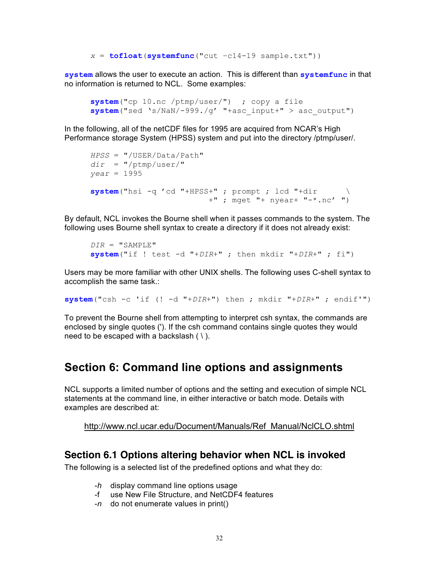$x = \text{tofloat}(\text{systemfunc}("cut -c14-19 same$  sample.txt"))

**system** allows the user to execute an action. This is different than **systemfunc** in that no information is returned to NCL. Some examples:

```
system("cp 10.nc /ptmp/user/") ; copy a file
system("sed 's/NaN/-999./g' "+asc_input+" > asc_output")
```
In the following, all of the netCDF files for 1995 are acquired from NCAR's High Performance storage System (HPSS) system and put into the directory /ptmp/user/.

```
HPSS = "/USER/Data/Path"
dir = "/ptmp/user/"year = 1995
system("hsi -q 'cd "+HPSS+" ; prompt ; lcd "+dir \
                          +" ; mget "+ nyear+ "-*.nc' ")
```
By default, NCL invokes the Bourne shell when it passes commands to the system. The following uses Bourne shell syntax to create a directory if it does not already exist:

```
DIR = "SAMPLE" 
system("if ! test -d "+DIR+" ; then mkdir "+DIR+" ; fi")
```
Users may be more familiar with other UNIX shells. The following uses C-shell syntax to accomplish the same task.:

**system**("csh -c 'if (! -d "+*DIR*+") then ; mkdir "+*DIR*+" ; endif'")

To prevent the Bourne shell from attempting to interpret csh syntax, the commands are enclosed by single quotes ('). If the csh command contains single quotes they would need to be escaped with a backslash  $( \n\cdot )$ .

## **Section 6: Command line options and assignments**

NCL supports a limited number of options and the setting and execution of simple NCL statements at the command line, in either interactive or batch mode. Details with examples are described at:

http://www.ncl.ucar.edu/Document/Manuals/Ref\_Manual/NclCLO.shtml

## **Section 6.1 Options altering behavior when NCL is invoked**

The following is a selected list of the predefined options and what they do:

- -*h* display command line options usage
- -f use New File Structure, and NetCDF4 features
- -*n* do not enumerate values in print()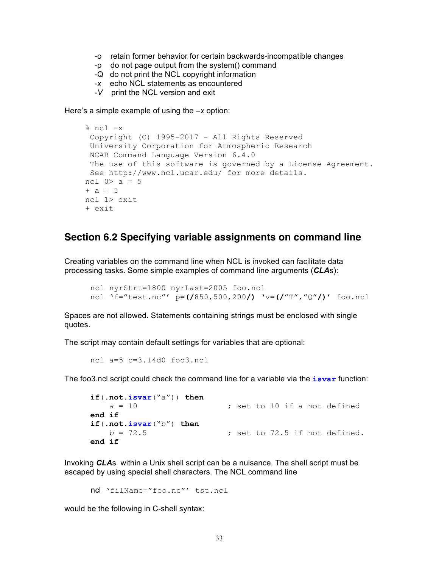- -o retain former behavior for certain backwards-incompatible changes
- -p do not page output from the system() command
- -Q do not print the NCL copyright information
- -*x* echo NCL statements as encountered
- -*V* print the NCL version and exit

Here's a simple example of using the –*x* option:

```
% ncl -x
Copyright (C) 1995-2017 - All Rights Reserved
 University Corporation for Atmospheric Research
NCAR Command Language Version 6.4.0
The use of this software is governed by a License Agreement.
See http://www.ncl.ucar.edu/ for more details.
ncl 0 > a = 5+ a = 5ncl 1> exit
+ exit
```
## **Section 6.2 Specifying variable assignments on command line**

Creating variables on the command line when NCL is invoked can facilitate data processing tasks. Some simple examples of command line arguments (*CLA*s):

```
ncl nyrStrt=1800 nyrLast=2005 foo.ncl
ncl 'f="test.nc"' p=(/850,500,200/) 'v=(/"T","Q"/)' foo.ncl
```
Spaces are not allowed. Statements containing strings must be enclosed with single quotes.

The script may contain default settings for variables that are optional:

ncl a=5 c=3.14d0 foo3.ncl

The foo3.ncl script could check the command line for a variable via the **isvar** function:

```
if(.not.isvar("a")) then<br>a = 10; set to 10 if a not defined
end if
if(.not.isvar("b") then
    b = 72.5 ; set to 72.5 if not defined.
end if
```
Invoking *CLA*s within a Unix shell script can be a nuisance. The shell script must be escaped by using special shell characters. The NCL command line

ncl 'filName="foo.nc"' tst.ncl

would be the following in C-shell syntax: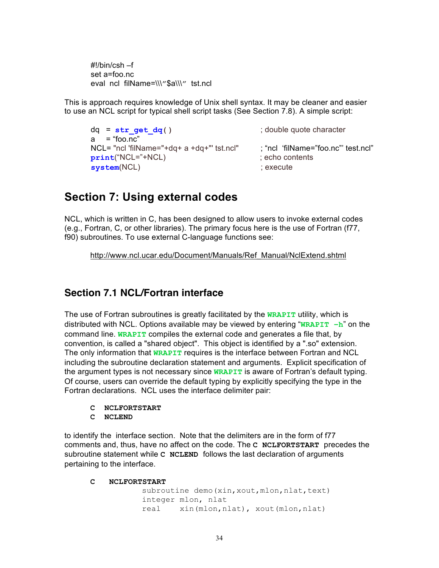#!/bin/csh –f set a=foo.nc eval ncl filName=\\\"\$a\\\" tst.ncl

This is approach requires knowledge of Unix shell syntax. It may be cleaner and easier to use an NCL script for typical shell script tasks (See Section 7.8). A simple script:

```
dq = str get dq() \qquad \qquad ; double quote character
a = "foo.nc" NCL= "ncl 'filName="+dq+ a +dq+"' tst.ncl" ; "ncl 'filName="foo.nc"' test.ncl"
print("NCL="+NCL) ; echo contents
system(NCL) ; execute
```
## **Section 7: Using external codes**

NCL, which is written in C, has been designed to allow users to invoke external codes (e.g., Fortran, C, or other libraries). The primary focus here is the use of Fortran (f77, f90) subroutines. To use external C-language functions see:

http://www.ncl.ucar.edu/Document/Manuals/Ref\_Manual/NclExtend.shtml

## **Section 7.1 NCL/Fortran interface**

The use of Fortran subroutines is greatly facilitated by the **WRAPIT** utility, which is distributed with NCL. Options available may be viewed by entering "**WRAPIT –h**" on the command line. **WRAPIT** compiles the external code and generates a file that, by convention, is called a "shared object". This object is identified by a ".so" extension. The only information that **WRAPIT** requires is the interface between Fortran and NCL including the subroutine declaration statement and arguments. Explicit specification of the argument types is not necessary since **WRAPIT** is aware of Fortran's default typing. Of course, users can override the default typing by explicitly specifying the type in the Fortran declarations. NCL uses the interface delimiter pair:

- **C NCLFORTSTART**
- **C NCLEND**

to identify the interface section. Note that the delimiters are in the form of f77 comments and, thus, have no affect on the code. The **C NCLFORTSTART** precedes the subroutine statement while **C NCLEND** follows the last declaration of arguments pertaining to the interface.

**C NCLFORTSTART**

subroutine demo (xin, xout, mlon, nlat, text) integer mlon, nlat real xin(mlon,nlat), xout(mlon,nlat)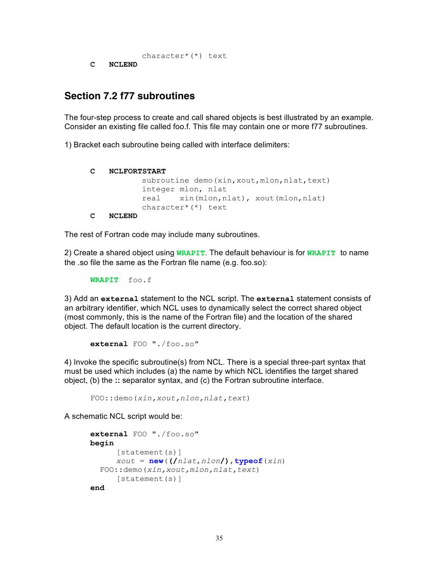```
character*(*) text
```
**C NCLEND** 

## **Section 7.2 f77 subroutines**

The four-step process to create and call shared objects is best illustrated by an example. Consider an existing file called foo.f. This file may contain one or more f77 subroutines.

1) Bracket each subroutine being called with interface delimiters:

```
C NCLFORTSTART
```

```
subroutine demo (xin, xout, mlon, nlat, text)
           integer mlon, nlat 
           real xin(mlon,nlat), xout(mlon,nlat) 
           character*(*) text
C NCLEND
```
The rest of Fortran code may include many subroutines.

2) Create a shared object using **WRAPIT**. The default behaviour is for **WRAPIT** to name the .so file the same as the Fortran file name (e.g. foo.so):

**WRAPIT** foo.f

3) Add an **external** statement to the NCL script. The **external** statement consists of an arbitrary identifier, which NCL uses to dynamically select the correct shared object (most commonly, this is the name of the Fortran file) and the location of the shared object. The default location is the current directory.

```
external FOO "./foo.so"
```
4) Invoke the specific subroutine(s) from NCL. There is a special three-part syntax that must be used which includes (a) the name by which NCL identifies the target shared object, (b) the **::** separator syntax, and (c) the Fortran subroutine interface.

FOO**::**demo(*xin,xout,nlon,nlat,text*)

A schematic NCL script would be:

```
external FOO "./foo.so"
begin
      [statement(s)]
     xout = new((/nlat,nlon/),typeof(xin)
   FOO::demo(xin,xout,mlon,nlat,text) 
      [statement(s)]
end
```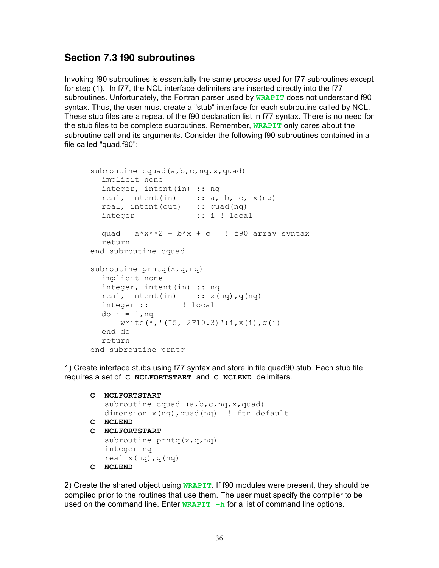## **Section 7.3 f90 subroutines**

Invoking f90 subroutines is essentially the same process used for f77 subroutines except for step (1). In f77, the NCL interface delimiters are inserted directly into the f77 subroutines. Unfortunately, the Fortran parser used by **WRAPIT** does not understand f90 syntax. Thus, the user must create a "stub" interface for each subroutine called by NCL. These stub files are a repeat of the f90 declaration list in f77 syntax. There is no need for the stub files to be complete subroutines. Remember, **WRAPIT** only cares about the subroutine call and its arguments. Consider the following f90 subroutines contained in a file called "quad.f90":

```
subroutine cquad(a,b,c,nq,x,quad)
  implicit none
  integer, intent(in) :: nq 
  real, intent(in) :: a, b, c, x(nq)real, intent(out) :: quad(nq) 
  integer :: i ! local
  quad = a*x**2 + b*x + c ! f90 array syntax
  return 
end subroutine cquad 
subroutine prntq(x,q,nq)
  implicit none
  integer, intent(in) :: nq 
  real, intent(in) :: x(nq), q(nq)integer :: i ! local 
  do i = 1,nq
      write(*, ' (I5, 2F10.3)') i, x(i), q(i)end do 
  return
end subroutine prntq
```
1) Create interface stubs using f77 syntax and store in file quad90.stub. Each stub file requires a set of **C NCLFORTSTART** and **C NCLEND** delimiters.

```
C NCLFORTSTART
   subroutine cquad (a,b,c,nq,x,quad) dimension x(nq),quad(nq) ! ftn default
C NCLEND
C NCLFORTSTART
   subroutine prntq(x,q,nq)
    integer nq
   real x(nq), q(nq)C NCLEND
```
2) Create the shared object using **WRAPIT**. If f90 modules were present, they should be compiled prior to the routines that use them. The user must specify the compiler to be used on the command line. Enter **WRAPIT**  $-h$  for a list of command line options.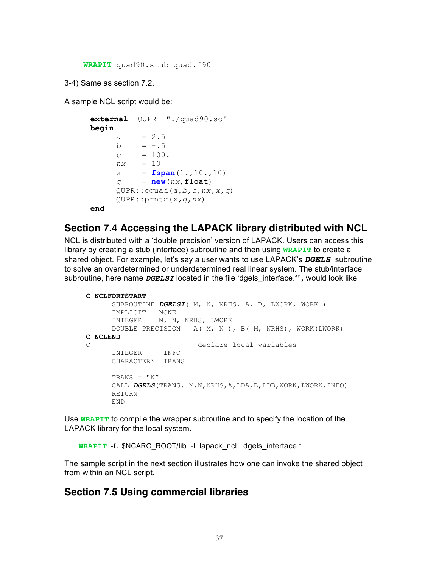**WRAPIT** quad90.stub quad.f90

3-4) Same as section 7.2.

A sample NCL script would be:

```
external QUPR "./quad90.so"
begin
     a = 2.5
     b = -.5c = 100.
     nx = 10
     x = fspan(1.,10.,10)
     q = new(nx,float) 
     QUPR::cquad(a,b,c,nx,x,q)
     QUPR::prntq(x,q,nx)
end
```
## **Section 7.4 Accessing the LAPACK library distributed with NCL**

NCL is distributed with a 'double precision' version of LAPACK. Users can access this library by creating a stub (interface) subroutine and then using **WRAPIT** to create a shared object. For example, let's say a user wants to use LAPACK's *DGELS* subroutine to solve an overdetermined or underdetermined real linear system. The stub/interface subroutine, here name *DGELSI* located in the file 'dgels\_interface.f*' ,* would look like

```
 C NCLFORTSTART
      SUBROUTINE DGELSI( M, N, NRHS, A, B, LWORK, WORK ) 
      IMPLICIT NONE 
      INTEGER M, N, NRHS, LWORK 
      DOUBLE PRECISION A( M, N ), B( M, NRHS), WORK(LWORK) 
 C NCLEND
 C declare local variables 
      INTEGER INFO 
      CHARACTER*1 TRANS 
     TRANS = "N" CALL DGELS(TRANS, M,N,NRHS,A,LDA,B,LDB,WORK,LWORK,INFO) 
      RETURN 
      END
```
Use **WRAPIT** to compile the wrapper subroutine and to specify the location of the LAPACK library for the local system.

 **WRAPIT** -L \$NCARG\_ROOT/lib -l lapack\_ncl dgels\_interface.f

The sample script in the next section illustrates how one can invoke the shared object from within an NCL script.

## **Section 7.5 Using commercial libraries**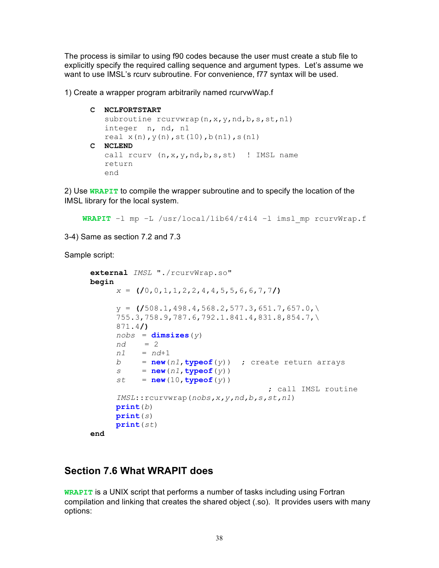The process is similar to using f90 codes because the user must create a stub file to explicitly specify the required calling sequence and argument types. Let's assume we want to use IMSL's rcurv subroutine. For convenience, f77 syntax will be used.

1) Create a wrapper program arbitrarily named rcurvwWap.f

#### **C NCLFORTSTART**

```
subroutine rcurvwrap(n, x, y, nd, b, s, st, n1)
    integer n, nd, n1
   real x(n), y(n), st(10), b(n1), s(n1)C NCLEND
   call rcurv (n, x, y, nd, b, s, st) ! IMSL name
    return
    end
```
2) Use **WRAPIT** to compile the wrapper subroutine and to specify the location of the IMSL library for the local system.

```
WRAPIT –l mp –L /usr/local/lib64/r4i4 –l imsl_mp rcurvWrap.f
```
3-4) Same as section 7.2 and 7.3

Sample script:

```
external IMSL "./rcurvWrap.so"
begin
     x = (/0,0,1,1,2,2,4,4,5,5,6,6,7,7/)
     y = (/508.1,498.4,568.2,577.3,651.7,657.0,\
     755.3,758.9,787.6,792.1.841.4,831.8,854.7,\
     871.4/)
     nobs = dimsizes(y)
     nd = 2
     n1 = nd+1
     b = new(n1, typeof(y)) ; create return arrays
     s = new(n1, typeof(y))st = new(10, typeof(y)) ; call IMSL routine
     IMSL::rcurvwrap(nobs,x,y,nd,b,s,st,n1)
     print(b)
     print(s)
     print(st)
end
```
## **Section 7.6 What WRAPIT does**

**WRAPIT** is a UNIX script that performs a number of tasks including using Fortran compilation and linking that creates the shared object (.so). It provides users with many options: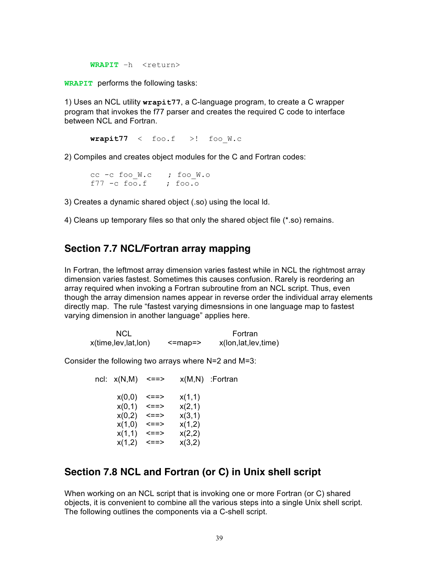WRAPIT -h <return>

**WRAPIT** performs the following tasks:

1) Uses an NCL utility **wrapit77**, a C-language program, to create a C wrapper program that invokes the f77 parser and creates the required C code to interface between NCL and Fortran.

 $\text{wrapit77}$  < foo.f >! foo $W.c$ 

2) Compiles and creates object modules for the C and Fortran codes:

cc -c foo W.c ; foo W.o f77  $-c$  foo.f ; foo.o

3) Creates a dynamic shared object (.so) using the local ld.

4) Cleans up temporary files so that only the shared object file (\*.so) remains.

## **Section 7.7 NCL/Fortran array mapping**

In Fortran, the leftmost array dimension varies fastest while in NCL the rightmost array dimension varies fastest. Sometimes this causes confusion. Rarely is reordering an array required when invoking a Fortran subroutine from an NCL script. Thus, even though the array dimension names appear in reverse order the individual array elements directly map. The rule "fastest varying dimesnsions in one language map to fastest varying dimension in another language" applies here.

| NCL                 |              | Fortran                |
|---------------------|--------------|------------------------|
| x(time,lev,lat,lon) | $\le$ =map=> | x(lon, lat, lev, time) |

Consider the following two arrays where N=2 and M=3:

ncl:  $x(N,M)$  <==>  $x(M,N)$  :Fortran  $x(0,0)$  <==>  $x(1,1)$  $x(0,1)$  <==>  $x(2,1)$  $x(0,2)$  <==>  $x(3,1)$  $x(1,0)$  <==>  $x(1,2)$  $x(1,1)$  <==>  $x(2,2)$  $x(1,2)$  <==>  $x(3,2)$ 

## **Section 7.8 NCL and Fortran (or C) in Unix shell script**

When working on an NCL script that is invoking one or more Fortran (or C) shared objects, it is convenient to combine all the various steps into a single Unix shell script. The following outlines the components via a C-shell script.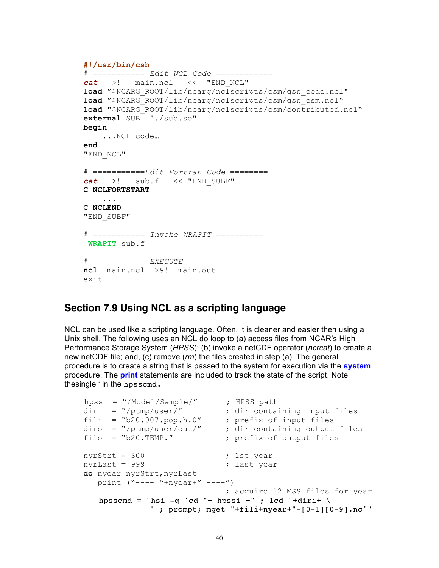```
 #!/usr/bin/csh
 # =========== Edit NCL Code ============
 cat >! main.ncl << "END_NCL"
 load "$NCARG_ROOT/lib/ncarg/nclscripts/csm/gsn_code.ncl"
 load "$NCARG_ROOT/lib/ncarg/nclscripts/csm/gsn_csm.ncl"
 load "$NCARG_ROOT/lib/ncarg/nclscripts/csm/contributed.ncl"
 external SUB "./sub.so" 
 begin 
     ...NCL code…
 end
 "END_NCL"
 # ===========Edit Fortran Code ========
 cat >! sub.f << "END_SUBF"
 C NCLFORTSTART
     ...
 C NCLEND
 "END_SUBF"
 # =========== Invoke WRAPIT ==========
 WRAPIT sub.f
 # =========== EXECUTE ========
 ncl main.ncl >&! main.out
 exit
```
## **Section 7.9 Using NCL as a scripting language**

NCL can be used like a scripting language. Often, it is cleaner and easier then using a Unix shell. The following uses an NCL do loop to (a) access files from NCAR's High Performance Storage System (*HPSS*); (b) invoke a netCDF operator (*ncrcat*) to create a new netCDF file; and, (c) remove (*rm*) the files created in step (a). The general procedure is to create a string that is passed to the system for execution via the **system** procedure. The **print** statements are included to track the state of the script. Note thesingle ' in the hpsscmd.

```
hpss = "/Model/Sample/" ; HPSS path
diri = "/ptmp/user/" ; dir containing input files
 fili = "b20.007.pop.h.0" ; prefix of input files
 diro = "/ptmp/user/out/" ; dir containing output files
    filo = "b20.TEMP." ; prefix of output files
   nyrStrt = 300 ; 1st year
   nyrLast = 999 ; last year
    do nyear=nyrStrt,nyrLast
     print ("--- "+nyear+" ---") ; acquire 12 MSS files for year
       hpsscmd = "hsi -q 'cd "+ hpssi +" ; lcd "+diri+ \
                " ; prompt; mget "+fili+nyear+"-[0-1][0-9].nc'"
```